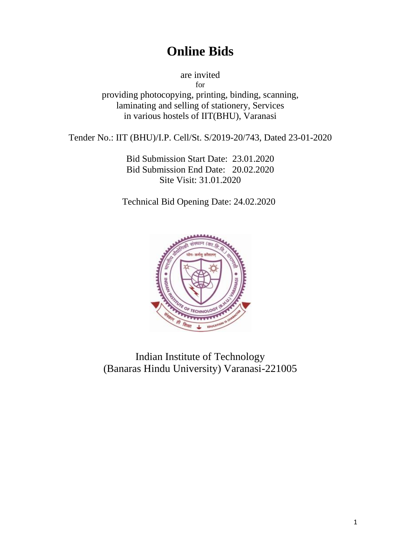# **Online Bids**

### are invited for

providing photocopying, printing, binding, scanning, laminating and selling of stationery, Services in various hostels of IIT(BHU), Varanasi

Tender No.: IIT (BHU)/I.P. Cell/St. S/2019-20/743, Dated 23-01-2020

Bid Submission Start Date: 23.01.2020 Bid Submission End Date: 20.02.2020 Site Visit: 31.01.2020

Technical Bid Opening Date: 24.02.2020



Indian Institute of Technology (Banaras Hindu University) Varanasi-221005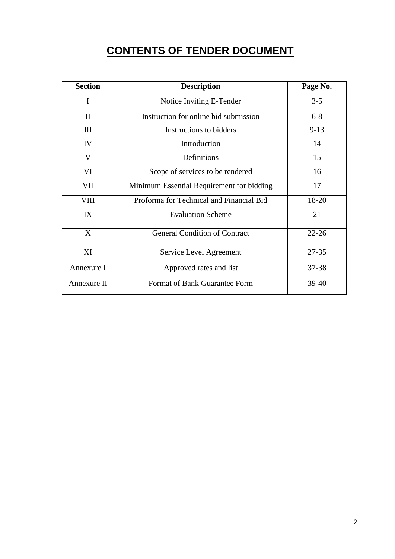# **CONTENTS OF TENDER DOCUMENT**

| <b>Section</b> | <b>Description</b>                        | Page No. |
|----------------|-------------------------------------------|----------|
| $\mathbf I$    | Notice Inviting E-Tender                  | $3 - 5$  |
| $\mathbf{I}$   | Instruction for online bid submission     | $6 - 8$  |
| Ш              | Instructions to bidders                   | $9 - 13$ |
| IV             | Introduction                              | 14       |
| V              | Definitions                               | 15       |
| VI             | Scope of services to be rendered          | 16       |
| VII            | Minimum Essential Requirement for bidding |          |
| <b>VIII</b>    | Proforma for Technical and Financial Bid  | 18-20    |
| IX             | <b>Evaluation Scheme</b>                  |          |
| X              | <b>General Condition of Contract</b>      |          |
| XI             | Service Level Agreement                   |          |
| Annexure I     | Approved rates and list                   |          |
| Annexure II    | Format of Bank Guarantee Form             |          |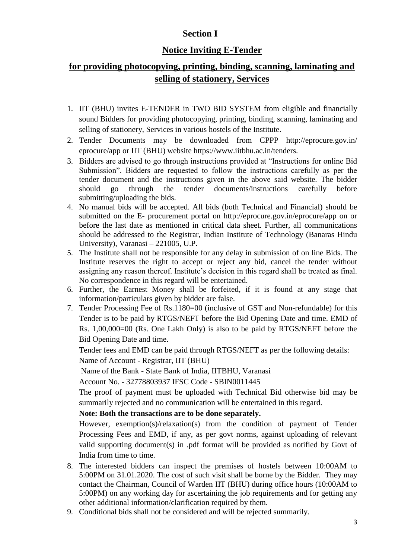# **Section I**

# **Notice Inviting E-Tender**

# **for providing photocopying, printing, binding, scanning, laminating and selling of stationery, Services**

- 1. IIT (BHU) invites E-TENDER in TWO BID SYSTEM from eligible and financially sound Bidders for providing photocopying, printing, binding, scanning, laminating and selling of stationery, Services in various hostels of the Institute.
- 2. Tender Documents may be downloaded from CPPP http://eprocure.gov.in/ eprocure/app or IIT (BHU) website https://www.iitbhu.ac.in/tenders.
- 3. Bidders are advised to go through instructions provided at "Instructions for online Bid Submission". Bidders are requested to follow the instructions carefully as per the tender document and the instructions given in the above said website. The bidder should go through the tender documents/instructions carefully before submitting/uploading the bids.
- 4. No manual bids will be accepted. All bids (both Technical and Financial) should be submitted on the E- procurement portal on http://eprocure.gov.in/eprocure/app on or before the last date as mentioned in critical data sheet. Further, all communications should be addressed to the Registrar, Indian Institute of Technology (Banaras Hindu University), Varanasi – 221005, U.P.
- 5. The Institute shall not be responsible for any delay in submission of on line Bids. The Institute reserves the right to accept or reject any bid, cancel the tender without assigning any reason thereof. Institute's decision in this regard shall be treated as final. No correspondence in this regard will be entertained.
- 6. Further, the Earnest Money shall be forfeited, if it is found at any stage that information/particulars given by bidder are false.
- 7. Tender Processing Fee of Rs.1180=00 (inclusive of GST and Non-refundable) for this Tender is to be paid by RTGS/NEFT before the Bid Opening Date and time. EMD of Rs. 1,00,000=00 (Rs. One Lakh Only) is also to be paid by RTGS/NEFT before the Bid Opening Date and time.

Tender fees and EMD can be paid through RTGS/NEFT as per the following details: Name of Account - Registrar, IIT (BHU)

Name of the Bank - State Bank of India, IITBHU, Varanasi

Account No. - 32778803937 IFSC Code - SBIN0011445

The proof of payment must be uploaded with Technical Bid otherwise bid may be summarily rejected and no communication will be entertained in this regard.

# **Note: Both the transactions are to be done separately.**

However, exemption(s)/relaxation(s) from the condition of payment of Tender Processing Fees and EMD, if any, as per govt norms, against uploading of relevant valid supporting document(s) in .pdf format will be provided as notified by Govt of India from time to time.

- 8. The interested bidders can inspect the premises of hostels between 10:00AM to 5:00PM on 31.01.2020. The cost of such visit shall be borne by the Bidder. They may contact the Chairman, Council of Warden IIT (BHU) during office hours (10:00AM to 5:00PM) on any working day for ascertaining the job requirements and for getting any other additional information/clarification required by them.
- 9. Conditional bids shall not be considered and will be rejected summarily.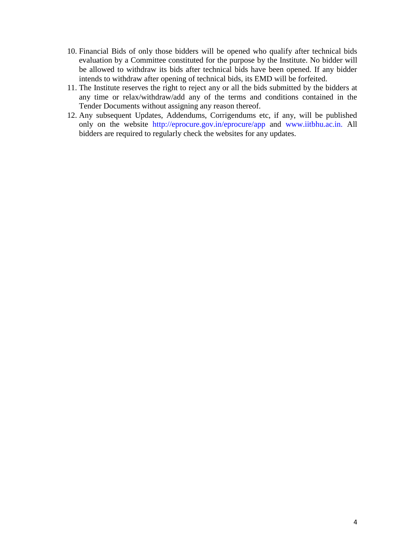- 10. Financial Bids of only those bidders will be opened who qualify after technical bids evaluation by a Committee constituted for the purpose by the Institute. No bidder will be allowed to withdraw its bids after technical bids have been opened. If any bidder intends to withdraw after opening of technical bids, its EMD will be forfeited.
- 11. The Institute reserves the right to reject any or all the bids submitted by the bidders at any time or relax/withdraw/add any of the terms and conditions contained in the Tender Documents without assigning any reason thereof.
- 12. Any subsequent Updates, Addendums, Corrigendums etc, if any, will be published only on the website http://eprocure.gov.in/eprocure/app and www.iitbhu.ac.in. All bidders are required to regularly check the websites for any updates.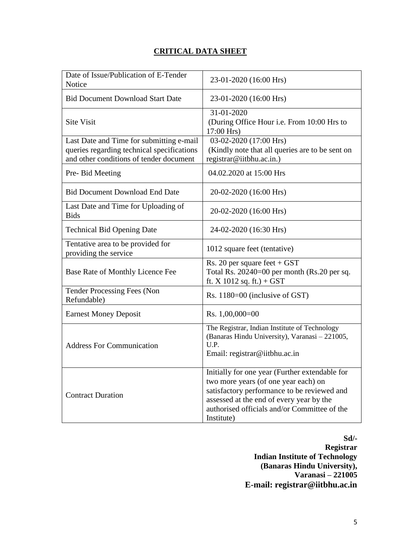# **CRITICAL DATA SHEET**

| Date of Issue/Publication of E-Tender<br>Notice                                                                                   | 23-01-2020 (16:00 Hrs)                                                                                                                                                                                                                          |  |  |
|-----------------------------------------------------------------------------------------------------------------------------------|-------------------------------------------------------------------------------------------------------------------------------------------------------------------------------------------------------------------------------------------------|--|--|
| <b>Bid Document Download Start Date</b>                                                                                           | 23-01-2020 (16:00 Hrs)                                                                                                                                                                                                                          |  |  |
| <b>Site Visit</b>                                                                                                                 | 31-01-2020<br>(During Office Hour i.e. From 10:00 Hrs to<br>17:00 Hrs)                                                                                                                                                                          |  |  |
| Last Date and Time for submitting e-mail<br>queries regarding technical specifications<br>and other conditions of tender document | 03-02-2020 (17:00 Hrs)<br>(Kindly note that all queries are to be sent on<br>registrar@iitbhu.ac.in.)                                                                                                                                           |  |  |
| Pre-Bid Meeting                                                                                                                   | 04.02.2020 at 15:00 Hrs                                                                                                                                                                                                                         |  |  |
| <b>Bid Document Download End Date</b>                                                                                             | 20-02-2020 (16:00 Hrs)                                                                                                                                                                                                                          |  |  |
| Last Date and Time for Uploading of<br><b>Bids</b>                                                                                | 20-02-2020 (16:00 Hrs)                                                                                                                                                                                                                          |  |  |
| <b>Technical Bid Opening Date</b>                                                                                                 | 24-02-2020 (16:30 Hrs)                                                                                                                                                                                                                          |  |  |
| Tentative area to be provided for<br>providing the service                                                                        | 1012 square feet (tentative)                                                                                                                                                                                                                    |  |  |
| Base Rate of Monthly Licence Fee                                                                                                  | Rs. 20 per square feet + GST<br>Total Rs. 20240=00 per month (Rs.20 per sq.<br>ft. $X$ 1012 sq. ft.) + GST                                                                                                                                      |  |  |
| <b>Tender Processing Fees (Non</b><br>Refundable)                                                                                 | Rs. 1180=00 (inclusive of GST)                                                                                                                                                                                                                  |  |  |
| <b>Earnest Money Deposit</b>                                                                                                      | Rs. $1,00,000=00$                                                                                                                                                                                                                               |  |  |
| <b>Address For Communication</b>                                                                                                  | The Registrar, Indian Institute of Technology<br>(Banaras Hindu University), Varanasi - 221005,<br>U.P.<br>Email: registrar@iitbhu.ac.in                                                                                                        |  |  |
| <b>Contract Duration</b>                                                                                                          | Initially for one year (Further extendable for<br>two more years (of one year each) on<br>satisfactory performance to be reviewed and<br>assessed at the end of every year by the<br>authorised officials and/or Committee of the<br>Institute) |  |  |

**Sd/- Registrar Indian Institute of Technology (Banaras Hindu University), Varanasi – 221005 E-mail: registrar@iitbhu.ac.in**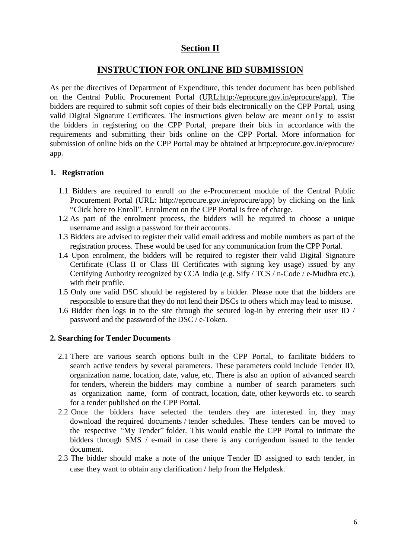# **Section II**

# **INSTRUCTION FOR ONLINE BID SUBMISSION**

As per the directives of Department of Expenditure, this tender document has been published on the Central Public Procurement Portal [\(URL:http://eprocure.gov.in/eprocure/app\).](http://eprocure.gov.in/eprocure/app) The bidders are required to submit soft copies of their bids electronically on the CPP Portal, using valid Digital Signature Certificates. The instructions given below are meant only to assist the bidders in registering on the CPP Portal, prepare their bids in accordance with the requirements and submitting their bids online on the CPP Portal. More information for submission of online bids on the CPP Portal may be obtained at http:eprocure.gov.in/eprocure/ app.

### **1. Registration**

- 1.1 Bidders are required to enroll on the e-Procurement module of the Central Public Procurement Portal (URL: [http://eprocure.gov.in/eprocure/app\)](http://eprocure.gov.in/eprocure/app) by clicking on the link "Click here to Enroll". Enrolment on the CPP Portal is free of charge.
- 1.2 As part of the enrolment process, the bidders will be required to choose a unique username and assign a password for their accounts.
- 1.3 Bidders are advised to register their valid email address and mobile numbers as part of the registration process. These would be used for any communication from the CPP Portal.
- 1.4 Upon enrolment, the bidders will be required to register their valid Digital Signature Certificate (Class II or Class III Certificates with signing key usage) issued by any Certifying Authority recognized by CCA India (e.g. Sify / TCS / n-Code / e-Mudhra etc.), with their profile.
- 1.5 Only one valid DSC should be registered by a bidder. Please note that the bidders are responsible to ensure that they do not lend their DSCs to others which may lead to misuse.
- 1.6 Bidder then logs in to the site through the secured log-in by entering their user ID / password and the password of the DSC / e-Token.

### **2. Searching for Tender Documents**

- 2.1 There are various search options built in the CPP Portal, to facilitate bidders to search active tenders by several parameters. These parameters could include Tender ID, organization name, location, date, value, etc. There is also an option of advanced search for tenders, wherein the bidders may combine a number of search parameters such as organization name, form of contract, location, date, other keywords etc. to search for a tender published on the CPP Portal.
- 2.2 Once the bidders have selected the tenders they are interested in, they may download the required documents / tender schedules. These tenders can be moved to the respective "My Tender" folder. This would enable the CPP Portal to intimate the bidders through SMS / e-mail in case there is any corrigendum issued to the tender document.
- 2.3 The bidder should make a note of the unique Tender ID assigned to each tender, in case they want to obtain any clarification / help from the Helpdesk.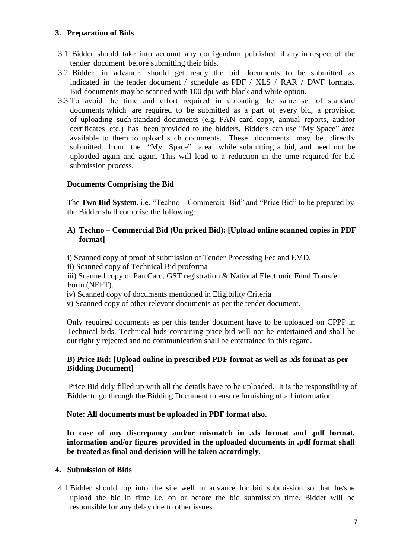# **3. Preparation of Bids**

- 3.1 Bidder should take into account any corrigendum published, if any in respect of the tender document before submitting their bids.
- 3.2 Bidder, in advance, should get ready the bid documents to be submitted as indicated in the tender document / schedule as PDF / XLS / RAR / DWF formats. Bid documents may be scanned with 100 dpi with black and white option.
- 3.3 To avoid the time and effort required in uploading the same set of standard documents which are required to be submitted as a part of every bid, a provision of uploading such standard documents (e.g. PAN card copy, annual reports, auditor certificates etc.) has been provided to the bidders. Bidders can use "My Space" area available to them to upload such documents. These documents may be directly submitted from the "My Space" area while submitting a bid, and need not be uploaded again and again. This will lead to a reduction in the time required for bid submission process.

# **Documents Comprising the Bid**

The **Two Bid System**, i.e. "Techno – Commercial Bid" and "Price Bid" to be prepared by the Bidder shall comprise the following:

# **A) Techno – Commercial Bid (Un priced Bid): [Upload online scanned copies in PDF format]**

i) Scanned copy of proof of submission of Tender Processing Fee and EMD.

ii) Scanned copy of Technical Bid proforma

iii) Scanned copy of Pan Card, GST registration & National Electronic Fund Transfer Form (NEFT).

iv) Scanned copy of documents mentioned in Eligibility Criteria

v) Scanned copy of other relevant documents as per the tender document.

Only required documents as per this tender document have to be uploaded on CPPP in Technical bids. Technical bids containing price bid will not be entertained and shall be out rightly rejected and no communication shall be entertained in this regard.

# **B) Price Bid: [Upload online in prescribed PDF format as well as .xls format as per Bidding Document]**

Price Bid duly filled up with all the details have to be uploaded. It is the responsibility of Bidder to go through the Bidding Document to ensure furnishing of all information.

# **Note: All documents must be uploaded in PDF format also.**

**In case of any discrepancy and/or mismatch in .xls format and .pdf format, information and/or figures provided in the uploaded documents in .pdf format shall be treated as final and decision will be taken accordingly.**

### **4. Submission of Bids**

4.1 Bidder should log into the site well in advance for bid submission so that he/she upload the bid in time i.e. on or before the bid submission time. Bidder will be responsible for any delay due to other issues.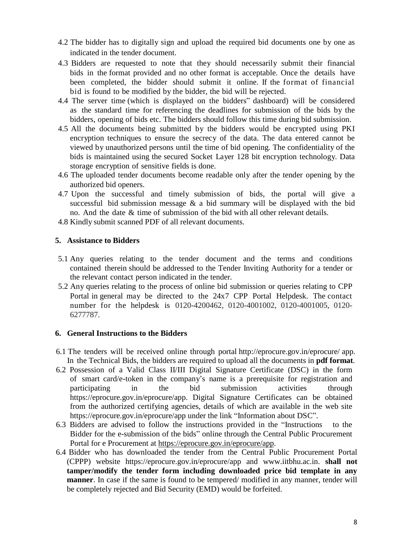- 4.2 The bidder has to digitally sign and upload the required bid documents one by one as indicated in the tender document.
- 4.3 Bidders are requested to note that they should necessarily submit their financial bids in the format provided and no other format is acceptable. Once the details have been completed, the bidder should submit it online. If the format of financial bid is found to be modified by the bidder, the bid will be rejected.
- 4.4 The server time (which is displayed on the bidders" dashboard) will be considered as the standard time for referencing the deadlines for submission of the bids by the bidders, opening of bids etc. The bidders should follow this time during bid submission.
- 4.5 All the documents being submitted by the bidders would be encrypted using PKI encryption techniques to ensure the secrecy of the data. The data entered cannot be viewed by unauthorized persons until the time of bid opening. The confidentiality of the bids is maintained using the secured Socket Layer 128 bit encryption technology. Data storage encryption of sensitive fields is done.
- 4.6 The uploaded tender documents become readable only after the tender opening by the authorized bid openers.
- 4.7 Upon the successful and timely submission of bids, the portal will give a successful bid submission message  $\&$  a bid summary will be displayed with the bid no. And the date & time of submission of the bid with all other relevant details.
- 4.8 Kindly submit scanned PDF of all relevant documents.

# **5. Assistance to Bidders**

- 5.1 Any queries relating to the tender document and the terms and conditions contained therein should be addressed to the Tender Inviting Authority for a tender or the relevant contact person indicated in the tender.
- 5.2 Any queries relating to the process of online bid submission or queries relating to CPP Portal in general may be directed to the 24x7 CPP Portal Helpdesk. The contact number for the helpdesk is 0120-4200462, 0120-4001002, 0120-4001005, 0120- 6277787.

# **6. General Instructions to the Bidders**

- 6.1 The tenders will be received online through portal http://eprocure.gov.in/eprocure/ app. In the Technical Bids, the bidders are required to upload all the documents in **pdf format**.
- 6.2 Possession of a Valid Class II/III Digital Signature Certificate (DSC) in the form of smart card/e-token in the company"s name is a prerequisite for registration and participating in the bid submission activities through https://eprocure.gov.in/eprocure/app. Digital Signature Certificates can be obtained from the authorized certifying agencies, details of which are available in the web site https://eprocure.gov.in/eprocure/app under the link "Information about DSC".
- 6.3 Bidders are advised to follow the instructions provided in the "Instructions to the Bidder for the e-submission of the bids" online through the Central Public Procurement Portal for e Procurement [at https://eprocure.gov.in/eprocure/app.](https://eprocure.gov.in/eprocure/app)
- 6.4 Bidder who has downloaded the tender from the Central Public Procurement Portal (CPPP) website https://eprocure.gov.in/eprocure/app and www.iitbhu.ac.in. **shall not tamper/modify the tender form including downloaded price bid template in any manner**. In case if the same is found to be tempered/ modified in any manner, tender will be completely rejected and Bid Security (EMD) would be forfeited.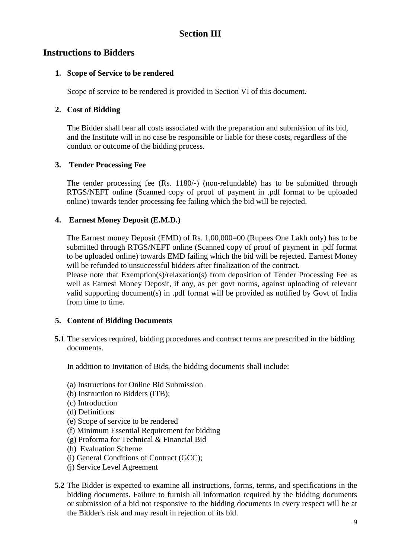# **Instructions to Bidders**

# **1. Scope of Service to be rendered**

Scope of service to be rendered is provided in Section VI of this document.

# **2. Cost of Bidding**

The Bidder shall bear all costs associated with the preparation and submission of its bid, and the Institute will in no case be responsible or liable for these costs, regardless of the conduct or outcome of the bidding process.

# **3. Tender Processing Fee**

The tender processing fee (Rs. 1180/-) (non-refundable) has to be submitted through RTGS/NEFT online (Scanned copy of proof of payment in .pdf format to be uploaded online) towards tender processing fee failing which the bid will be rejected.

# **4. Earnest Money Deposit (E.M.D.)**

The Earnest money Deposit (EMD) of Rs. 1,00,000=00 (Rupees One Lakh only) has to be submitted through RTGS/NEFT online (Scanned copy of proof of payment in .pdf format to be uploaded online) towards EMD failing which the bid will be rejected. Earnest Money will be refunded to unsuccessful bidders after finalization of the contract.

Please note that Exemption(s)/relaxation(s) from deposition of Tender Processing Fee as well as Earnest Money Deposit, if any, as per govt norms, against uploading of relevant valid supporting document(s) in .pdf format will be provided as notified by Govt of India from time to time.

# **5. Content of Bidding Documents**

**5.1** The services required, bidding procedures and contract terms are prescribed in the bidding documents.

In addition to Invitation of Bids, the bidding documents shall include:

- (a) Instructions for Online Bid Submission
- (b) Instruction to Bidders (ITB);
- (c) Introduction
- (d) Definitions
- (e) Scope of service to be rendered
- (f) Minimum Essential Requirement for bidding
- (g) Proforma for Technical & Financial Bid
- (h) Evaluation Scheme
- (i) General Conditions of Contract (GCC);
- (j) Service Level Agreement
- **5.2** The Bidder is expected to examine all instructions, forms, terms, and specifications in the bidding documents. Failure to furnish all information required by the bidding documents or submission of a bid not responsive to the bidding documents in every respect will be at the Bidder's risk and may result in rejection of its bid.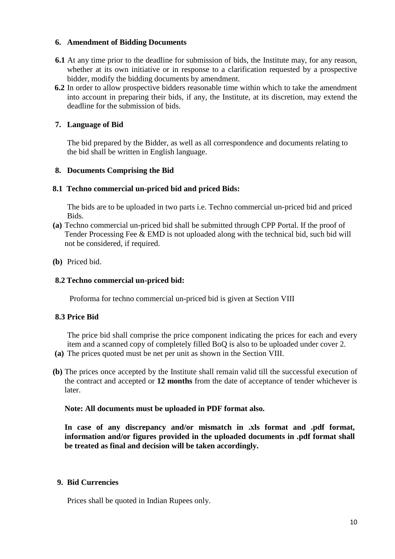### **6. Amendment of Bidding Documents**

- **6.1** At any time prior to the deadline for submission of bids, the Institute may, for any reason, whether at its own initiative or in response to a clarification requested by a prospective bidder, modify the bidding documents by amendment.
- **6.2** In order to allow prospective bidders reasonable time within which to take the amendment into account in preparing their bids, if any, the Institute, at its discretion, may extend the deadline for the submission of bids.

# **7. Language of Bid**

The bid prepared by the Bidder, as well as all correspondence and documents relating to the bid shall be written in English language.

# **8. Documents Comprising the Bid**

# **8.1 Techno commercial un-priced bid and priced Bids:**

The bids are to be uploaded in two parts i.e. Techno commercial un-priced bid and priced Bids.

**(a)** Techno commercial un-priced bid shall be submitted through CPP Portal. If the proof of Tender Processing Fee & EMD is not uploaded along with the technical bid, such bid will not be considered, if required.

# **(b)** Priced bid.

### **8.2 Techno commercial un-priced bid:**

Proforma for techno commercial un-priced bid is given at Section VIII

# **8.3 Price Bid**

The price bid shall comprise the price component indicating the prices for each and every item and a scanned copy of completely filled BoQ is also to be uploaded under cover 2.

- **(a)** The prices quoted must be net per unit as shown in the Section VIII.
- **(b)** The prices once accepted by the Institute shall remain valid till the successful execution of the contract and accepted or **12 months** from the date of acceptance of tender whichever is later.

# **Note: All documents must be uploaded in PDF format also.**

**In case of any discrepancy and/or mismatch in .xls format and .pdf format, information and/or figures provided in the uploaded documents in .pdf format shall be treated as final and decision will be taken accordingly.**

### **9. Bid Currencies**

Prices shall be quoted in Indian Rupees only.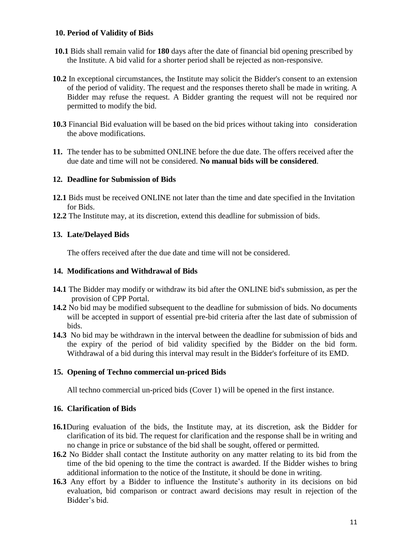### **10. Period of Validity of Bids**

- **10.1** Bids shall remain valid for **180** days after the date of financial bid opening prescribed by the Institute. A bid valid for a shorter period shall be rejected as non-responsive.
- **10.2** In exceptional circumstances, the Institute may solicit the Bidder's consent to an extension of the period of validity. The request and the responses thereto shall be made in writing. A Bidder may refuse the request. A Bidder granting the request will not be required nor permitted to modify the bid.
- **10.3** Financial Bid evaluation will be based on the bid prices without taking into consideration the above modifications.
- **11.** The tender has to be submitted ONLINE before the due date. The offers received after the due date and time will not be considered. **No manual bids will be considered**.

### **12. Deadline for Submission of Bids**

- **12.1** Bids must be received ONLINE not later than the time and date specified in the Invitation for Bids.
- **12.2** The Institute may, at its discretion, extend this deadline for submission of bids.

### **13. Late/Delayed Bids**

The offers received after the due date and time will not be considered.

### **14. Modifications and Withdrawal of Bids**

- **14.1** The Bidder may modify or withdraw its bid after the ONLINE bid's submission, as per the provision of CPP Portal.
- **14.2** No bid may be modified subsequent to the deadline for submission of bids. No documents will be accepted in support of essential pre-bid criteria after the last date of submission of bids.
- **14.3** No bid may be withdrawn in the interval between the deadline for submission of bids and the expiry of the period of bid validity specified by the Bidder on the bid form. Withdrawal of a bid during this interval may result in the Bidder's forfeiture of its EMD.

# **15. Opening of Techno commercial un-priced Bids**

All techno commercial un-priced bids (Cover 1) will be opened in the first instance.

### **16. Clarification of Bids**

- **16.1**During evaluation of the bids, the Institute may, at its discretion, ask the Bidder for clarification of its bid. The request for clarification and the response shall be in writing and no change in price or substance of the bid shall be sought, offered or permitted.
- **16.2** No Bidder shall contact the Institute authority on any matter relating to its bid from the time of the bid opening to the time the contract is awarded. If the Bidder wishes to bring additional information to the notice of the Institute, it should be done in writing.
- 16.3 Any effort by a Bidder to influence the Institute's authority in its decisions on bid evaluation, bid comparison or contract award decisions may result in rejection of the Bidder"s bid.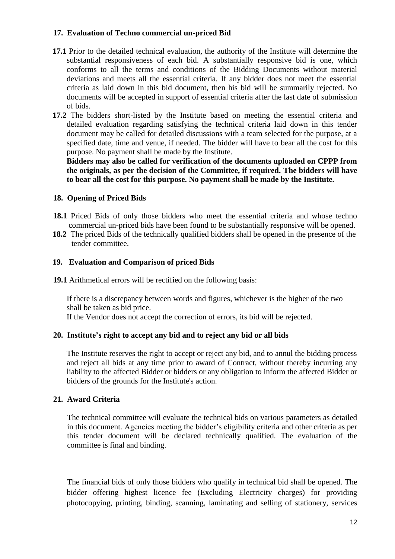### **17. Evaluation of Techno commercial un-priced Bid**

- **17.1** Prior to the detailed technical evaluation, the authority of the Institute will determine the substantial responsiveness of each bid. A substantially responsive bid is one, which conforms to all the terms and conditions of the Bidding Documents without material deviations and meets all the essential criteria. If any bidder does not meet the essential criteria as laid down in this bid document, then his bid will be summarily rejected. No documents will be accepted in support of essential criteria after the last date of submission of bids.
- **17.2** The bidders short-listed by the Institute based on meeting the essential criteria and detailed evaluation regarding satisfying the technical criteria laid down in this tender document may be called for detailed discussions with a team selected for the purpose, at a specified date, time and venue, if needed. The bidder will have to bear all the cost for this purpose. No payment shall be made by the Institute.

**Bidders may also be called for verification of the documents uploaded on CPPP from the originals, as per the decision of the Committee, if required. The bidders will have to bear all the cost for this purpose. No payment shall be made by the Institute.**

### **18. Opening of Priced Bids**

- **18.1** Priced Bids of only those bidders who meet the essential criteria and whose techno commercial un-priced bids have been found to be substantially responsive will be opened.
- **18.2** The priced Bids of the technically qualified bidders shall be opened in the presence of the tender committee.

### **19. Evaluation and Comparison of priced Bids**

 **19.1** Arithmetical errors will be rectified on the following basis:

If there is a discrepancy between words and figures, whichever is the higher of the two shall be taken as bid price.

If the Vendor does not accept the correction of errors, its bid will be rejected.

# **20. Institute's right to accept any bid and to reject any bid or all bids**

The Institute reserves the right to accept or reject any bid, and to annul the bidding process and reject all bids at any time prior to award of Contract, without thereby incurring any liability to the affected Bidder or bidders or any obligation to inform the affected Bidder or bidders of the grounds for the Institute's action.

# **21. Award Criteria**

The technical committee will evaluate the technical bids on various parameters as detailed in this document. Agencies meeting the bidder"s eligibility criteria and other criteria as per this tender document will be declared technically qualified. The evaluation of the committee is final and binding.

The financial bids of only those bidders who qualify in technical bid shall be opened. The bidder offering highest licence fee (Excluding Electricity charges) for providing photocopying, printing, binding, scanning, laminating and selling of stationery, services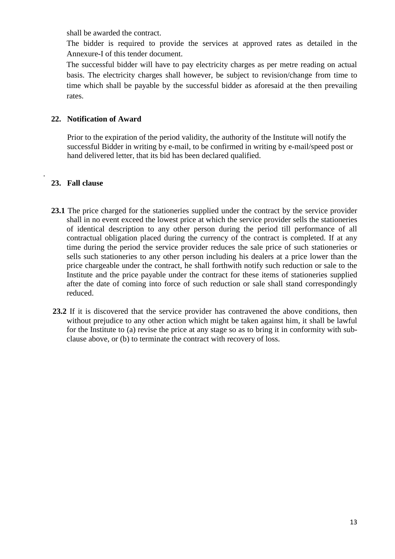shall be awarded the contract.

The bidder is required to provide the services at approved rates as detailed in the Annexure-I of this tender document.

The successful bidder will have to pay electricity charges as per metre reading on actual basis. The electricity charges shall however, be subject to revision/change from time to time which shall be payable by the successful bidder as aforesaid at the then prevailing rates.

# **22. Notification of Award**

Prior to the expiration of the period validity, the authority of the Institute will notify the successful Bidder in writing by e-mail, to be confirmed in writing by e-mail/speed post or hand delivered letter, that its bid has been declared qualified.

# **23. Fall clause**

.

- **23.1** The price charged for the stationeries supplied under the contract by the service provider shall in no event exceed the lowest price at which the service provider sells the stationeries of identical description to any other person during the period till performance of all contractual obligation placed during the currency of the contract is completed. If at any time during the period the service provider reduces the sale price of such stationeries or sells such stationeries to any other person including his dealers at a price lower than the price chargeable under the contract, he shall forthwith notify such reduction or sale to the Institute and the price payable under the contract for these items of stationeries supplied after the date of coming into force of such reduction or sale shall stand correspondingly reduced.
- **23.2** If it is discovered that the service provider has contravened the above conditions, then without prejudice to any other action which might be taken against him, it shall be lawful for the Institute to (a) revise the price at any stage so as to bring it in conformity with subclause above, or (b) to terminate the contract with recovery of loss.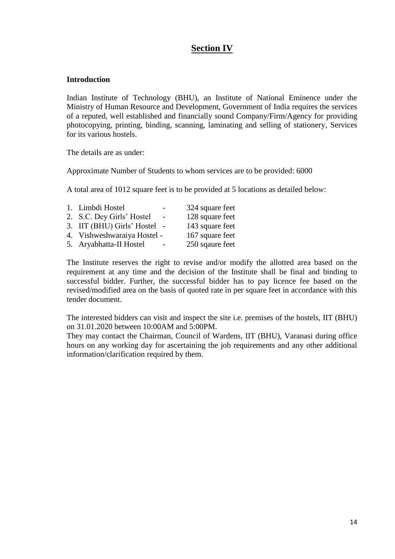# **Section IV**

# **Introduction**

Indian Institute of Technology (BHU), an Institute of National Eminence under the Ministry of Human Resource and Development, Government of India requires the services of a reputed, well established and financially sound Company/Firm/Agency for providing photocopying, printing, binding, scanning, laminating and selling of stationery, Services for its various hostels.

The details are as under:

Approximate Number of Students to whom services are to be provided: 6000

A total area of 1012 square feet is to be provided at 5 locations as detailed below:

| 1. Limbdi Hostel            | 324 square feet |
|-----------------------------|-----------------|
| 2. S.C. Dey Girls' Hostel   | 128 square feet |
| 3. IIT (BHU) Girls' Hostel  | 143 square feet |
| 4. Vishweshwaraiya Hostel - | 167 square feet |
| 5. Aryabhatta-II Hostel     | 250 sqaure feet |

The Institute reserves the right to revise and/or modify the allotted area based on the requirement at any time and the decision of the Institute shall be final and binding to successful bidder. Further, the successful bidder has to pay licence fee based on the revised/modified area on the basis of quoted rate in per square feet in accordance with this tender document.

The interested bidders can visit and inspect the site i.e. premises of the hostels, IIT (BHU) on 31.01.2020 between 10:00AM and 5:00PM.

They may contact the Chairman, Council of Wardens, IIT (BHU), Varanasi during office hours on any working day for ascertaining the job requirements and any other additional information/clarification required by them.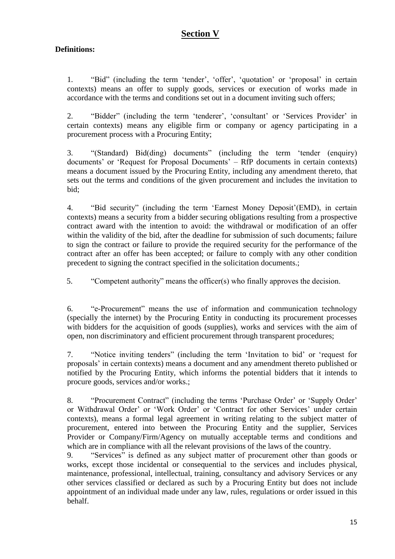# **Section V**

1. "Bid" (including the term 'tender', 'offer', 'quotation' or 'proposal' in certain contexts) means an offer to supply goods, services or execution of works made in accordance with the terms and conditions set out in a document inviting such offers;

2. "Bidder" (including the term 'tenderer', 'consultant' or 'Services Provider' in certain contexts) means any eligible firm or company or agency participating in a procurement process with a Procuring Entity;

3. "(Standard) Bid(ding) documents" (including the term "tender (enquiry) documents' or 'Request for Proposal Documents' – RfP documents in certain contexts) means a document issued by the Procuring Entity, including any amendment thereto, that sets out the terms and conditions of the given procurement and includes the invitation to bid;

4. "Bid security" (including the term "Earnest Money Deposit"(EMD), in certain contexts) means a security from a bidder securing obligations resulting from a prospective contract award with the intention to avoid: the withdrawal or modification of an offer within the validity of the bid, after the deadline for submission of such documents; failure to sign the contract or failure to provide the required security for the performance of the contract after an offer has been accepted; or failure to comply with any other condition precedent to signing the contract specified in the solicitation documents.;

5. "Competent authority" means the officer(s) who finally approves the decision.

6. "e-Procurement" means the use of information and communication technology (specially the internet) by the Procuring Entity in conducting its procurement processes with bidders for the acquisition of goods (supplies), works and services with the aim of open, non discriminatory and efficient procurement through transparent procedures;

7. "Notice inviting tenders" (including the term "Invitation to bid" or "request for proposals" in certain contexts) means a document and any amendment thereto published or notified by the Procuring Entity, which informs the potential bidders that it intends to procure goods, services and/or works.;

8. "Procurement Contract" (including the terms 'Purchase Order' or 'Supply Order' or Withdrawal Order' or 'Work Order' or 'Contract for other Services' under certain contexts), means a formal legal agreement in writing relating to the subject matter of procurement, entered into between the Procuring Entity and the supplier, Services Provider or Company/Firm/Agency on mutually acceptable terms and conditions and which are in compliance with all the relevant provisions of the laws of the country.

9. "Services" is defined as any subject matter of procurement other than goods or works, except those incidental or consequential to the services and includes physical, maintenance, professional, intellectual, training, consultancy and advisory Services or any other services classified or declared as such by a Procuring Entity but does not include appointment of an individual made under any law, rules, regulations or order issued in this behalf.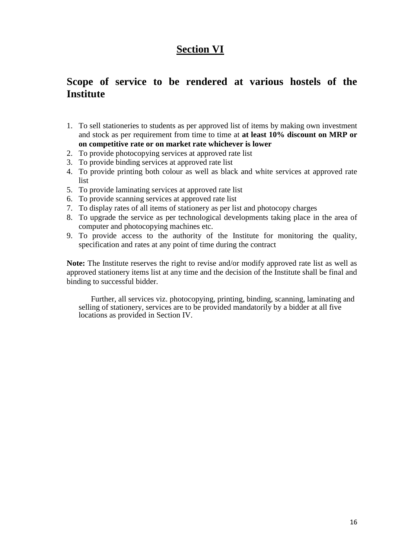# **Section VI**

# **Scope of service to be rendered at various hostels of the Institute**

- 1. To sell stationeries to students as per approved list of items by making own investment and stock as per requirement from time to time at **at least 10% discount on MRP or on competitive rate or on market rate whichever is lower**
- 2. To provide photocopying services at approved rate list
- 3. To provide binding services at approved rate list
- 4. To provide printing both colour as well as black and white services at approved rate list
- 5. To provide laminating services at approved rate list
- 6. To provide scanning services at approved rate list
- 7. To display rates of all items of stationery as per list and photocopy charges
- 8. To upgrade the service as per technological developments taking place in the area of computer and photocopying machines etc.
- 9. To provide access to the authority of the Institute for monitoring the quality, specification and rates at any point of time during the contract

**Note:** The Institute reserves the right to revise and/or modify approved rate list as well as approved stationery items list at any time and the decision of the Institute shall be final and binding to successful bidder.

Further, all services viz. photocopying, printing, binding, scanning, laminating and selling of stationery, services are to be provided mandatorily by a bidder at all five locations as provided in Section IV.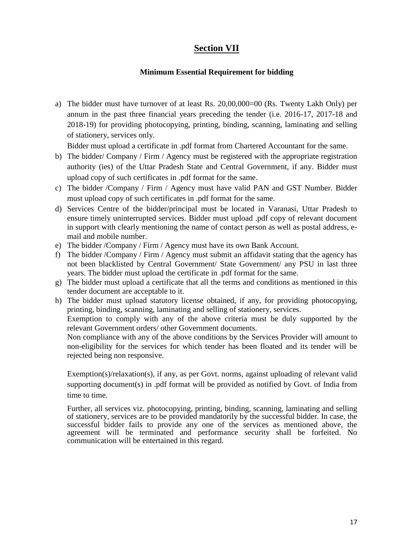# **Section VII**

### **Minimum Essential Requirement for bidding**

a) The bidder must have turnover of at least Rs. 20,00,000=00 (Rs. Twenty Lakh Only) per annum in the past three financial years preceding the tender (i.e. 2016-17, 2017-18 and 2018-19) for providing photocopying, printing, binding, scanning, laminating and selling of stationery, services only.

Bidder must upload a certificate in .pdf format from Chartered Accountant for the same.

- b) The bidder/ Company / Firm / Agency must be registered with the appropriate registration authority (ies) of the Uttar Pradesh State and Central Government, if any. Bidder must upload copy of such certificates in .pdf format for the same.
- c) The bidder /Company / Firm / Agency must have valid PAN and GST Number. Bidder must upload copy of such certificates in .pdf format for the same.
- d) Services Centre of the bidder/principal must be located in Varanasi, Uttar Pradesh to ensure timely uninterrupted services. Bidder must upload .pdf copy of relevant document in support with clearly mentioning the name of contact person as well as postal address, email and mobile number.
- e) The bidder /Company / Firm / Agency must have its own Bank Account.
- f) The bidder /Company / Firm / Agency must submit an affidavit stating that the agency has not been blacklisted by Central Government/ State Government/ any PSU in last three years. The bidder must upload the certificate in .pdf format for the same.
- g) The bidder must upload a certificate that all the terms and conditions as mentioned in this tender document are acceptable to it.
- h) The bidder must upload statutory license obtained, if any, for providing photocopying, printing, binding, scanning, laminating and selling of stationery, services.

Exemption to comply with any of the above criteria must be duly supported by the relevant Government orders/ other Government documents.

Non compliance with any of the above conditions by the Services Provider will amount to non-eligibility for the services for which tender has been floated and its tender will be rejected being non responsive.

Exemption(s)/relaxation(s), if any, as per Govt. norms, against uploading of relevant valid supporting document(s) in .pdf format will be provided as notified by Govt. of India from time to time.

Further, all services viz. photocopying, printing, binding, scanning, laminating and selling of stationery, services are to be provided mandatorily by the successful bidder. In case, the successful bidder fails to provide any one of the services as mentioned above, the agreement will be terminated and performance security shall be forfeited. No communication will be entertained in this regard.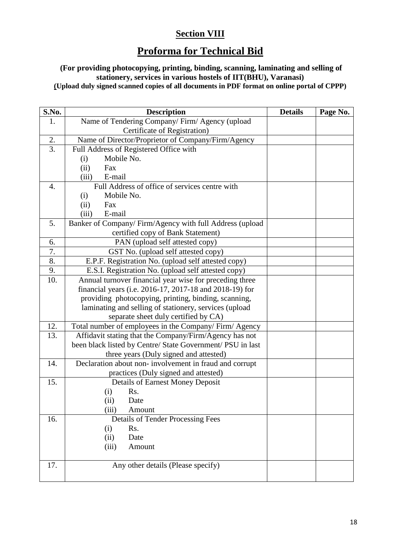# **Section VIII**

# **Proforma for Technical Bid**

**(For providing photocopying, printing, binding, scanning, laminating and selling of stationery, services in various hostels of IIT(BHU), Varanasi) (Upload duly signed scanned copies of all documents in PDF format on online portal of CPPP)**

| S.No. | <b>Description</b>                                         | <b>Details</b> | Page No. |
|-------|------------------------------------------------------------|----------------|----------|
| 1.    | Name of Tendering Company/Firm/Agency (upload              |                |          |
|       | Certificate of Registration)                               |                |          |
| 2.    | Name of Director/Proprietor of Company/Firm/Agency         |                |          |
| 3.    | Full Address of Registered Office with                     |                |          |
|       | Mobile No.<br>(i)                                          |                |          |
|       | (ii)<br>Fax                                                |                |          |
|       | E-mail<br>(iii)                                            |                |          |
| 4.    | Full Address of office of services centre with             |                |          |
|       | Mobile No.<br>(i)                                          |                |          |
|       | (ii)<br>Fax                                                |                |          |
|       | E-mail<br>(iii)                                            |                |          |
| 5.    | Banker of Company/Firm/Agency with full Address (upload    |                |          |
|       | certified copy of Bank Statement)                          |                |          |
| 6.    | PAN (upload self attested copy)                            |                |          |
| 7.    | GST No. (upload self attested copy)                        |                |          |
| 8.    | E.P.F. Registration No. (upload self attested copy)        |                |          |
| 9.    | E.S.I. Registration No. (upload self attested copy)        |                |          |
| 10.   | Annual turnover financial year wise for preceding three    |                |          |
|       | financial years (i.e. 2016-17, 2017-18 and 2018-19) for    |                |          |
|       | providing photocopying, printing, binding, scanning,       |                |          |
|       | laminating and selling of stationery, services (upload     |                |          |
|       | separate sheet duly certified by CA)                       |                |          |
| 12.   | Total number of employees in the Company/Firm/Agency       |                |          |
| 13.   | Affidavit stating that the Company/Firm/Agency has not     |                |          |
|       | been black listed by Centre/ State Government/ PSU in last |                |          |
|       | three years (Duly signed and attested)                     |                |          |
| 14.   | Declaration about non-involvement in fraud and corrupt     |                |          |
|       | practices (Duly signed and attested)                       |                |          |
| 15.   | <b>Details of Earnest Money Deposit</b>                    |                |          |
|       | Rs.<br>(i)                                                 |                |          |
|       | (ii)<br>Date                                               |                |          |
|       | (iii)<br>Amount                                            |                |          |
| 16.   | <b>Details of Tender Processing Fees</b><br>Rs.            |                |          |
|       | (i)<br>Date<br>(ii)                                        |                |          |
|       | Amount<br>(iii)                                            |                |          |
|       |                                                            |                |          |
| 17.   | Any other details (Please specify)                         |                |          |
|       |                                                            |                |          |
|       |                                                            |                |          |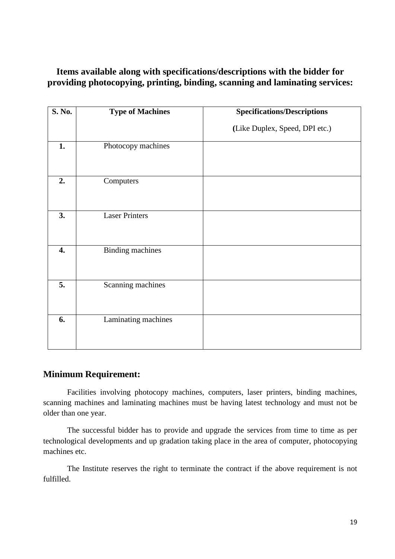# **Items available along with specifications/descriptions with the bidder for providing photocopying, printing, binding, scanning and laminating services:**

| S. No. | <b>Type of Machines</b> | <b>Specifications/Descriptions</b> |  |
|--------|-------------------------|------------------------------------|--|
|        |                         | (Like Duplex, Speed, DPI etc.)     |  |
| 1.     | Photocopy machines      |                                    |  |
| 2.     | Computers               |                                    |  |
| 3.     | <b>Laser Printers</b>   |                                    |  |
| 4.     | <b>Binding machines</b> |                                    |  |
| 5.     | Scanning machines       |                                    |  |
| 6.     | Laminating machines     |                                    |  |

# **Minimum Requirement:**

Facilities involving photocopy machines, computers, laser printers, binding machines, scanning machines and laminating machines must be having latest technology and must not be older than one year.

The successful bidder has to provide and upgrade the services from time to time as per technological developments and up gradation taking place in the area of computer, photocopying machines etc.

The Institute reserves the right to terminate the contract if the above requirement is not fulfilled.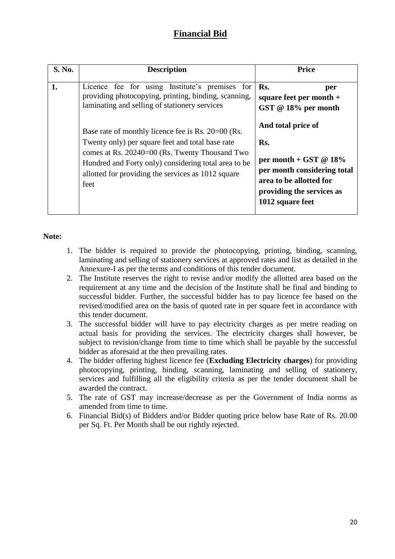# **Financial Bid**

| S. No. | <b>Description</b>                                                                                                                                                                                                       | <b>Price</b>                                                                                                                              |  |
|--------|--------------------------------------------------------------------------------------------------------------------------------------------------------------------------------------------------------------------------|-------------------------------------------------------------------------------------------------------------------------------------------|--|
| 1.     | Licence fee for using Institute's premises for<br>providing photocopying, printing, binding, scanning,<br>laminating and selling of stationery services<br>Base rate of monthly licence fee is Rs. 20=00 (Rs.            | Rs.<br>per<br>square feet per month $+$<br>GST @ 18% per month<br>And total price of                                                      |  |
|        | Twenty only) per square feet and total base rate<br>comes at Rs. 20240=00 (Rs. Twenty Thousand Two<br>Hundred and Forty only) considering total area to be<br>allotted for providing the services as 1012 square<br>feet | Rs.<br>per month + GST $@18\%$<br>per month considering total<br>area to be allotted for<br>providing the services as<br>1012 square feet |  |

### **Note:**

- 1. The bidder is required to provide the photocopying, printing, binding, scanning, laminating and selling of stationery services at approved rates and list as detailed in the Annexure-I as per the terms and conditions of this tender document.
- 2. The Institute reserves the right to revise and/or modify the allotted area based on the requirement at any time and the decision of the Institute shall be final and binding to successful bidder. Further, the successful bidder has to pay licence fee based on the revised/modified area on the basis of quoted rate in per square feet in accordance with this tender document.
- 3. The successful bidder will have to pay electricity charges as per metre reading on actual basis for providing the services. The electricity charges shall however, be subject to revision/change from time to time which shall be payable by the successful bidder as aforesaid at the then prevailing rates.
- 4. The bidder offering highest licence fee (**Excluding Electricity charges**) for providing photocopying, printing, binding, scanning, laminating and selling of stationery, services and fulfilling all the eligibility criteria as per the tender document shall be awarded the contract.
- 5. The rate of GST may increase/decrease as per the Government of India norms as amended from time to time.
- 6. Financial Bid(s) of Bidders and/or Bidder quoting price below base Rate of Rs. 20.00 per Sq. Ft. Per Month shall be out rightly rejected.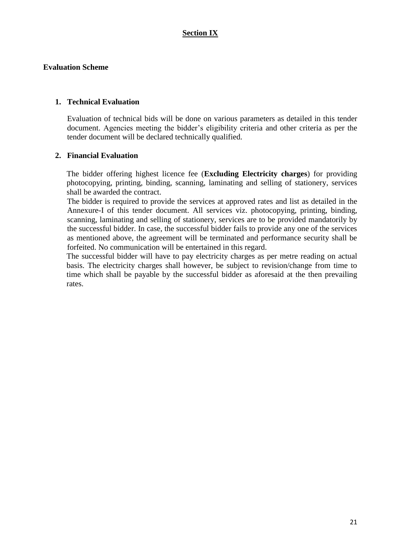# **Section IX**

### **Evaluation Scheme**

### **1. Technical Evaluation**

Evaluation of technical bids will be done on various parameters as detailed in this tender document. Agencies meeting the bidder"s eligibility criteria and other criteria as per the tender document will be declared technically qualified.

### **2. Financial Evaluation**

The bidder offering highest licence fee (**Excluding Electricity charges**) for providing photocopying, printing, binding, scanning, laminating and selling of stationery, services shall be awarded the contract.

The bidder is required to provide the services at approved rates and list as detailed in the Annexure-I of this tender document. All services viz. photocopying, printing, binding, scanning, laminating and selling of stationery, services are to be provided mandatorily by the successful bidder. In case, the successful bidder fails to provide any one of the services as mentioned above, the agreement will be terminated and performance security shall be forfeited. No communication will be entertained in this regard.

The successful bidder will have to pay electricity charges as per metre reading on actual basis. The electricity charges shall however, be subject to revision/change from time to time which shall be payable by the successful bidder as aforesaid at the then prevailing rates.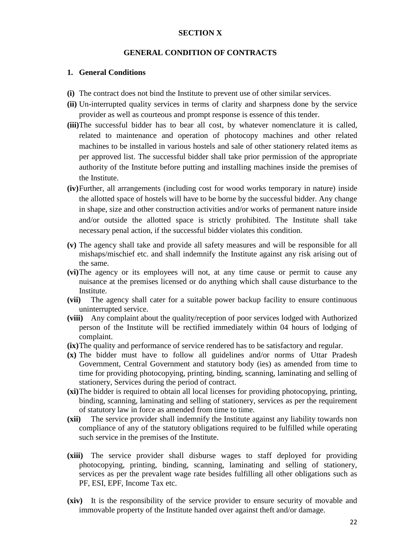#### **SECTION X**

### **GENERAL CONDITION OF CONTRACTS**

#### **1. General Conditions**

- **(i)** The contract does not bind the Institute to prevent use of other similar services.
- **(ii)** Un-interrupted quality services in terms of clarity and sharpness done by the service provider as well as courteous and prompt response is essence of this tender.
- **(iii)**The successful bidder has to bear all cost, by whatever nomenclature it is called, related to maintenance and operation of photocopy machines and other related machines to be installed in various hostels and sale of other stationery related items as per approved list. The successful bidder shall take prior permission of the appropriate authority of the Institute before putting and installing machines inside the premises of the Institute.
- **(iv)**Further, all arrangements (including cost for wood works temporary in nature) inside the allotted space of hostels will have to be borne by the successful bidder. Any change in shape, size and other construction activities and/or works of permanent nature inside and/or outside the allotted space is strictly prohibited. The Institute shall take necessary penal action, if the successful bidder violates this condition.
- **(v)** The agency shall take and provide all safety measures and will be responsible for all mishaps/mischief etc. and shall indemnify the Institute against any risk arising out of the same.
- **(vi)**The agency or its employees will not, at any time cause or permit to cause any nuisance at the premises licensed or do anything which shall cause disturbance to the Institute.
- **(vii)** The agency shall cater for a suitable power backup facility to ensure continuous uninterrupted service.
- **(viii)** Any complaint about the quality/reception of poor services lodged with Authorized person of the Institute will be rectified immediately within 04 hours of lodging of complaint.
- **(ix)**The quality and performance of service rendered has to be satisfactory and regular.
- **(x)** The bidder must have to follow all guidelines and/or norms of Uttar Pradesh Government, Central Government and statutory body (ies) as amended from time to time for providing photocopying, printing, binding, scanning, laminating and selling of stationery, Services during the period of contract.
- **(xi)**The bidder is required to obtain all local licenses for providing photocopying, printing, binding, scanning, laminating and selling of stationery, services as per the requirement of statutory law in force as amended from time to time.
- **(xii)** The service provider shall indemnify the Institute against any liability towards non compliance of any of the statutory obligations required to be fulfilled while operating such service in the premises of the Institute.
- **(xiii)** The service provider shall disburse wages to staff deployed for providing photocopying, printing, binding, scanning, laminating and selling of stationery, services as per the prevalent wage rate besides fulfilling all other obligations such as PF, ESI, EPF, Income Tax etc.
- **(xiv)** It is the responsibility of the service provider to ensure security of movable and immovable property of the Institute handed over against theft and/or damage.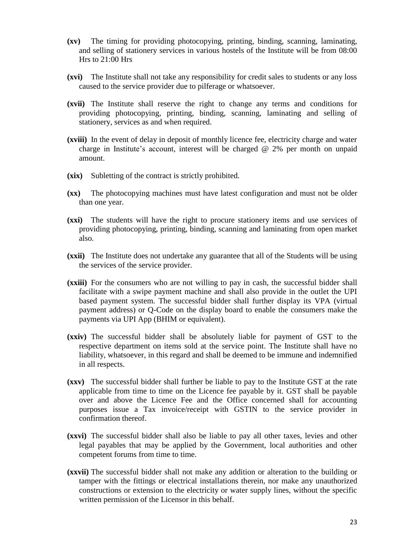- **(xv)** The timing for providing photocopying, printing, binding, scanning, laminating, and selling of stationery services in various hostels of the Institute will be from 08:00 Hrs to 21:00 Hrs
- **(xvi)** The Institute shall not take any responsibility for credit sales to students or any loss caused to the service provider due to pilferage or whatsoever.
- **(xvii)** The Institute shall reserve the right to change any terms and conditions for providing photocopying, printing, binding, scanning, laminating and selling of stationery, services as and when required.
- **(xviii)** In the event of delay in deposit of monthly licence fee, electricity charge and water charge in Institute's account, interest will be charged  $@ 2\%$  per month on unpaid amount.
- **(xix)** Subletting of the contract is strictly prohibited.
- **(xx)** The photocopying machines must have latest configuration and must not be older than one year.
- **(xxi)** The students will have the right to procure stationery items and use services of providing photocopying, printing, binding, scanning and laminating from open market also.
- **(xxii)** The Institute does not undertake any guarantee that all of the Students will be using the services of the service provider.
- **(xxiii)** For the consumers who are not willing to pay in cash, the successful bidder shall facilitate with a swipe payment machine and shall also provide in the outlet the UPI based payment system. The successful bidder shall further display its VPA (virtual payment address) or Q-Code on the display board to enable the consumers make the payments via UPI App (BHIM or equivalent).
- **(xxiv)** The successful bidder shall be absolutely liable for payment of GST to the respective department on items sold at the service point. The Institute shall have no liability, whatsoever, in this regard and shall be deemed to be immune and indemnified in all respects.
- **(xxv)** The successful bidder shall further be liable to pay to the Institute GST at the rate applicable from time to time on the Licence fee payable by it. GST shall be payable over and above the Licence Fee and the Office concerned shall for accounting purposes issue a Tax invoice/receipt with GSTIN to the service provider in confirmation thereof.
- **(xxvi)** The successful bidder shall also be liable to pay all other taxes, levies and other legal payables that may be applied by the Government, local authorities and other competent forums from time to time.
- **(xxvii)** The successful bidder shall not make any addition or alteration to the building or tamper with the fittings or electrical installations therein, nor make any unauthorized constructions or extension to the electricity or water supply lines, without the specific written permission of the Licensor in this behalf.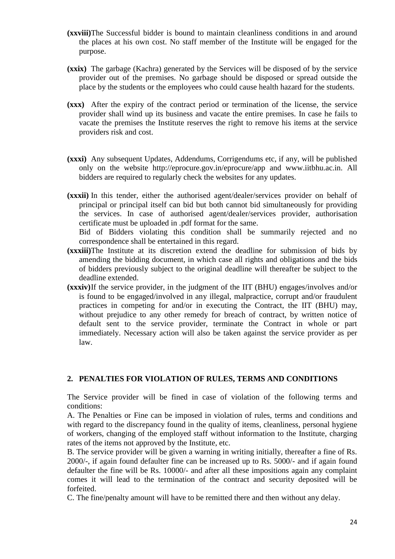- **(xxviii)**The Successful bidder is bound to maintain cleanliness conditions in and around the places at his own cost. No staff member of the Institute will be engaged for the purpose.
- **(xxix)** The garbage (Kachra) generated by the Services will be disposed of by the service provider out of the premises. No garbage should be disposed or spread outside the place by the students or the employees who could cause health hazard for the students.
- **(xxx)** After the expiry of the contract period or termination of the license, the service provider shall wind up its business and vacate the entire premises. In case he fails to vacate the premises the Institute reserves the right to remove his items at the service providers risk and cost.
- **(xxxi)** Any subsequent Updates, Addendums, Corrigendums etc, if any, will be published only on the website http://eprocure.gov.in/eprocure/app and www.iitbhu.ac.in. All bidders are required to regularly check the websites for any updates.
- **(xxxii)** In this tender, either the authorised agent/dealer/services provider on behalf of principal or principal itself can bid but both cannot bid simultaneously for providing the services. In case of authorised agent/dealer/services provider, authorisation certificate must be uploaded in .pdf format for the same.

Bid of Bidders violating this condition shall be summarily rejected and no correspondence shall be entertained in this regard.

- **(xxxiii)**The Institute at its discretion extend the deadline for submission of bids by amending the bidding document, in which case all rights and obligations and the bids of bidders previously subject to the original deadline will thereafter be subject to the deadline extended.
- **(xxxiv)**If the service provider, in the judgment of the IIT (BHU) engages/involves and/or is found to be engaged/involved in any illegal, malpractice, corrupt and/or fraudulent practices in competing for and/or in executing the Contract, the IIT (BHU) may, without prejudice to any other remedy for breach of contract, by written notice of default sent to the service provider, terminate the Contract in whole or part immediately. Necessary action will also be taken against the service provider as per law.

# **2. PENALTIES FOR VIOLATION OF RULES, TERMS AND CONDITIONS**

The Service provider will be fined in case of violation of the following terms and conditions:

A. The Penalties or Fine can be imposed in violation of rules, terms and conditions and with regard to the discrepancy found in the quality of items, cleanliness, personal hygiene of workers, changing of the employed staff without information to the Institute, charging rates of the items not approved by the Institute, etc.

B. The service provider will be given a warning in writing initially, thereafter a fine of Rs. 2000/-, if again found defaulter fine can be increased up to Rs. 5000/- and if again found defaulter the fine will be Rs. 10000/- and after all these impositions again any complaint comes it will lead to the termination of the contract and security deposited will be forfeited.

C. The fine/penalty amount will have to be remitted there and then without any delay.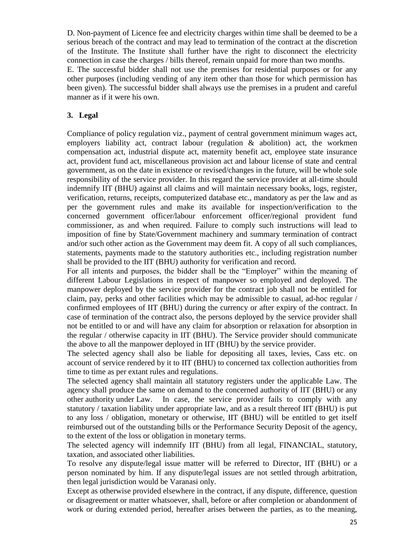D. Non-payment of Licence fee and electricity charges within time shall be deemed to be a serious breach of the contract and may lead to termination of the contract at the discretion of the Institute. The Institute shall further have the right to disconnect the electricity connection in case the charges / bills thereof, remain unpaid for more than two months.

E. The successful bidder shall not use the premises for residential purposes or for any other purposes (including vending of any item other than those for which permission has been given). The successful bidder shall always use the premises in a prudent and careful manner as if it were his own.

# **3. Legal**

Compliance of policy regulation viz., payment of central government minimum wages act, employers liability act, contract labour (regulation & abolition) act, the workmen compensation act, industrial dispute act, maternity benefit act, employee state insurance act, provident fund act, miscellaneous provision act and labour license of state and central government, as on the date in existence or revised/changes in the future, will be whole sole responsibility of the service provider. In this regard the service provider at all-time should indemnify IIT (BHU) against all claims and will maintain necessary books, logs, register, verification, returns, receipts, computerized database etc., mandatory as per the law and as per the government rules and make its available for inspection/verification to the concerned government officer/labour enforcement officer/regional provident fund commissioner, as and when required. Failure to comply such instructions will lead to imposition of fine by State/Government machinery and summary termination of contract and/or such other action as the Government may deem fit. A copy of all such compliances, statements, payments made to the statutory authorities etc., including registration number shall be provided to the IIT (BHU) authority for verification and record.

For all intents and purposes, the bidder shall be the "Employer" within the meaning of different Labour Legislations in respect of manpower so employed and deployed. The manpower deployed by the service provider for the contract job shall not be entitled for claim, pay, perks and other facilities which may be admissible to casual, ad-hoc regular / confirmed employees of IIT (BHU) during the currency or after expiry of the contract. In case of termination of the contract also, the persons deployed by the service provider shall not be entitled to or and will have any claim for absorption or relaxation for absorption in the regular / otherwise capacity in IIT (BHU). The Service provider should communicate the above to all the manpower deployed in IIT (BHU) by the service provider.

The selected agency shall also be liable for depositing all taxes, levies, Cass etc. on account of service rendered by it to IIT (BHU) to concerned tax collection authorities from time to time as per extant rules and regulations.

The selected agency shall maintain all statutory registers under the applicable Law. The agency shall produce the same on demand to the concerned authority of IIT (BHU) or any other authority under Law. In case, the service provider fails to comply with any statutory / taxation liability under appropriate law, and as a result thereof IIT (BHU) is put to any loss / obligation, monetary or otherwise, IIT (BHU) will be entitled to get itself reimbursed out of the outstanding bills or the Performance Security Deposit of the agency, to the extent of the loss or obligation in monetary terms.

The selected agency will indemnify IIT (BHU) from all legal, FINANCIAL, statutory, taxation, and associated other liabilities.

To resolve any dispute/legal issue matter will be referred to Director, IIT (BHU) or a person nominated by him. If any dispute/legal issues are not settled through arbitration, then legal jurisdiction would be Varanasi only.

Except as otherwise provided elsewhere in the contract, if any dispute, difference, question or disagreement or matter whatsoever, shall, before or after completion or abandonment of work or during extended period, hereafter arises between the parties, as to the meaning,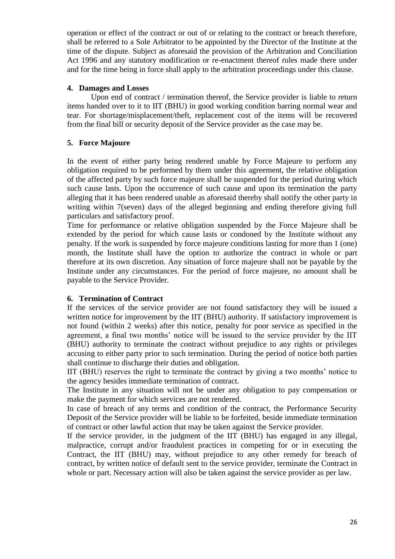operation or effect of the contract or out of or relating to the contract or breach therefore, shall be referred to a Sole Arbitrator to be appointed by the Director of the Institute at the time of the dispute. Subject as aforesaid the provision of the Arbitration and Conciliation Act 1996 and any statutory modification or re-enactment thereof rules made there under and for the time being in force shall apply to the arbitration proceedings under this clause.

### **4. Damages and Losses**

Upon end of contract / termination thereof, the Service provider is liable to return items handed over to it to IIT (BHU) in good working condition barring normal wear and tear. For shortage/misplacement/theft, replacement cost of the items will be recovered from the final bill or security deposit of the Service provider as the case may be.

# **5. Force Majoure**

In the event of either party being rendered unable by Force Majeure to perform any obligation required to be performed by them under this agreement, the relative obligation of the affected party by such force majeure shall be suspended for the period during which such cause lasts. Upon the occurrence of such cause and upon its termination the party alleging that it has been rendered unable as aforesaid thereby shall notify the other party in writing within 7(seven) days of the alleged beginning and ending therefore giving full particulars and satisfactory proof.

Time for performance or relative obligation suspended by the Force Majeure shall be extended by the period for which cause lasts or condoned by the Institute without any penalty. If the work is suspended by force majeure conditions lasting for more than 1 (one) month, the Institute shall have the option to authorize the contract in whole or part therefore at its own discretion. Any situation of force majeure shall not be payable by the Institute under any circumstances. For the period of force majeure, no amount shall be payable to the Service Provider.

# **6. Termination of Contract**

If the services of the service provider are not found satisfactory they will be issued a written notice for improvement by the IIT (BHU) authority. If satisfactory improvement is not found (within 2 weeks) after this notice, penalty for poor service as specified in the agreement, a final two months' notice will be issued to the service provider by the IIT (BHU) authority to terminate the contract without prejudice to any rights or privileges accusing to either party prior to such termination. During the period of notice both parties shall continue to discharge their duties and obligation.

IIT (BHU) reserves the right to terminate the contract by giving a two months" notice to the agency besides immediate termination of contract.

The Institute in any situation will not be under any obligation to pay compensation or make the payment for which services are not rendered.

In case of breach of any terms and condition of the contract, the Performance Security Deposit of the Service provider will be liable to be forfeited, beside immediate termination of contract or other lawful action that may be taken against the Service provider.

If the service provider, in the judgment of the IIT (BHU) has engaged in any illegal, malpractice, corrupt and/or fraudulent practices in competing for or in executing the Contract, the IIT (BHU) may, without prejudice to any other remedy for breach of contract, by written notice of default sent to the service provider, terminate the Contract in whole or part. Necessary action will also be taken against the service provider as per law.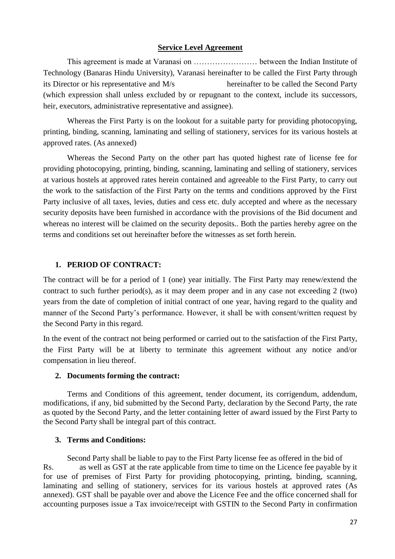#### **Service Level Agreement**

This agreement is made at Varanasi on …………………… between the Indian Institute of Technology (Banaras Hindu University), Varanasi hereinafter to be called the First Party through its Director or his representative and M/shereinafter to be called the Second Party (which expression shall unless excluded by or repugnant to the context, include its successors, heir, executors, administrative representative and assignee).

Whereas the First Party is on the lookout for a suitable party for providing photocopying, printing, binding, scanning, laminating and selling of stationery, services for its various hostels at approved rates. (As annexed)

Whereas the Second Party on the other part has quoted highest rate of license fee for providing photocopying, printing, binding, scanning, laminating and selling of stationery, services at various hostels at approved rates herein contained and agreeable to the First Party, to carry out the work to the satisfaction of the First Party on the terms and conditions approved by the First Party inclusive of all taxes, levies, duties and cess etc. duly accepted and where as the necessary security deposits have been furnished in accordance with the provisions of the Bid document and whereas no interest will be claimed on the security deposits.. Both the parties hereby agree on the terms and conditions set out hereinafter before the witnesses as set forth herein.

### **1. PERIOD OF CONTRACT:**

The contract will be for a period of 1 (one) year initially. The First Party may renew/extend the contract to such further period(s), as it may deem proper and in any case not exceeding 2 (two) years from the date of completion of initial contract of one year, having regard to the quality and manner of the Second Party's performance. However, it shall be with consent/written request by the Second Party in this regard.

In the event of the contract not being performed or carried out to the satisfaction of the First Party, the First Party will be at liberty to terminate this agreement without any notice and/or compensation in lieu thereof.

#### **2. Documents forming the contract:**

Terms and Conditions of this agreement, tender document, its corrigendum, addendum, modifications, if any, bid submitted by the Second Party, declaration by the Second Party, the rate as quoted by the Second Party, and the letter containing letter of award issued by the First Party to the Second Party shall be integral part of this contract.

### **3. Terms and Conditions:**

Second Party shall be liable to pay to the First Party license fee as offered in the bid of Rs. as well as GST at the rate applicable from time to time on the Licence fee payable by it for use of premises of First Party for providing photocopying, printing, binding, scanning, laminating and selling of stationery, services for its various hostels at approved rates (As annexed). GST shall be payable over and above the Licence Fee and the office concerned shall for accounting purposes issue a Tax invoice/receipt with GSTIN to the Second Party in confirmation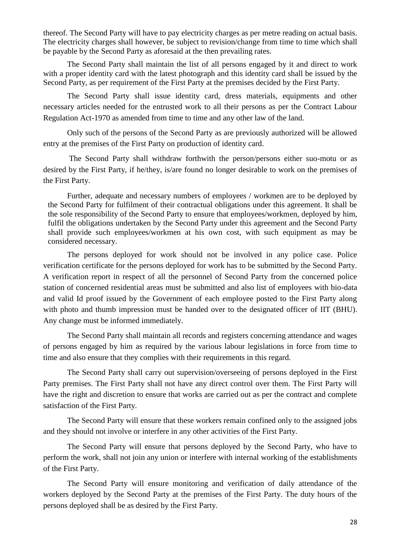thereof. The Second Party will have to pay electricity charges as per metre reading on actual basis. The electricity charges shall however, be subject to revision/change from time to time which shall be payable by the Second Party as aforesaid at the then prevailing rates.

The Second Party shall maintain the list of all persons engaged by it and direct to work with a proper identity card with the latest photograph and this identity card shall be issued by the Second Party, as per requirement of the First Party at the premises decided by the First Party.

The Second Party shall issue identity card, dress materials, equipments and other necessary articles needed for the entrusted work to all their persons as per the Contract Labour Regulation Act-1970 as amended from time to time and any other law of the land.

Only such of the persons of the Second Party as are previously authorized will be allowed entry at the premises of the First Party on production of identity card.

The Second Party shall withdraw forthwith the person/persons either suo-motu or as desired by the First Party, if he/they, is/are found no longer desirable to work on the premises of the First Party.

Further, adequate and necessary numbers of employees / workmen are to be deployed by the Second Party for fulfilment of their contractual obligations under this agreement. It shall be the sole responsibility of the Second Party to ensure that employees/workmen, deployed by him, fulfil the obligations undertaken by the Second Party under this agreement and the Second Party shall provide such employees/workmen at his own cost, with such equipment as may be considered necessary.

The persons deployed for work should not be involved in any police case. Police verification certificate for the persons deployed for work has to be submitted by the Second Party. A verification report in respect of all the personnel of Second Party from the concerned police station of concerned residential areas must be submitted and also list of employees with bio-data and valid Id proof issued by the Government of each employee posted to the First Party along with photo and thumb impression must be handed over to the designated officer of IIT (BHU). Any change must be informed immediately.

The Second Party shall maintain all records and registers concerning attendance and wages of persons engaged by him as required by the various labour legislations in force from time to time and also ensure that they complies with their requirements in this regard.

The Second Party shall carry out supervision/overseeing of persons deployed in the First Party premises. The First Party shall not have any direct control over them. The First Party will have the right and discretion to ensure that works are carried out as per the contract and complete satisfaction of the First Party.

The Second Party will ensure that these workers remain confined only to the assigned jobs and they should not involve or interfere in any other activities of the First Party.

The Second Party will ensure that persons deployed by the Second Party, who have to perform the work, shall not join any union or interfere with internal working of the establishments of the First Party.

The Second Party will ensure monitoring and verification of daily attendance of the workers deployed by the Second Party at the premises of the First Party. The duty hours of the persons deployed shall be as desired by the First Party.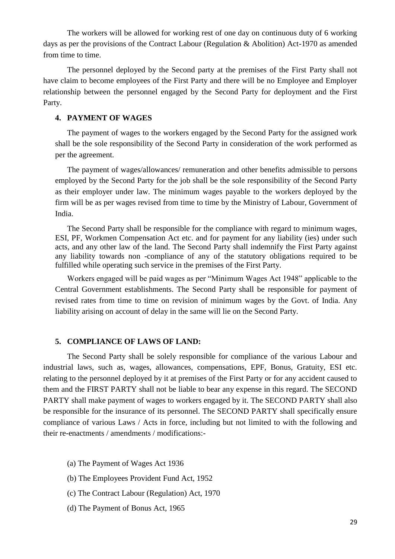The workers will be allowed for working rest of one day on continuous duty of 6 working days as per the provisions of the Contract Labour (Regulation & Abolition) Act-1970 as amended from time to time.

The personnel deployed by the Second party at the premises of the First Party shall not have claim to become employees of the First Party and there will be no Employee and Employer relationship between the personnel engaged by the Second Party for deployment and the First Party.

### **4. PAYMENT OF WAGES**

The payment of wages to the workers engaged by the Second Party for the assigned work shall be the sole responsibility of the Second Party in consideration of the work performed as per the agreement.

The payment of wages/allowances/ remuneration and other benefits admissible to persons employed by the Second Party for the job shall be the sole responsibility of the Second Party as their employer under law. The minimum wages payable to the workers deployed by the firm will be as per wages revised from time to time by the Ministry of Labour, Government of India.

The Second Party shall be responsible for the compliance with regard to minimum wages, ESI, PF, Workmen Compensation Act etc. and for payment for any liability (ies) under such acts, and any other law of the land. The Second Party shall indemnify the First Party against any liability towards non -compliance of any of the statutory obligations required to be fulfilled while operating such service in the premises of the First Party.

Workers engaged will be paid wages as per "Minimum Wages Act 1948" applicable to the Central Government establishments. The Second Party shall be responsible for payment of revised rates from time to time on revision of minimum wages by the Govt. of India. Any liability arising on account of delay in the same will lie on the Second Party.

### **5. COMPLIANCE OF LAWS OF LAND:**

The Second Party shall be solely responsible for compliance of the various Labour and industrial laws, such as, wages, allowances, compensations, EPF, Bonus, Gratuity, ESI etc. relating to the personnel deployed by it at premises of the First Party or for any accident caused to them and the FIRST PARTY shall not be liable to bear any expense in this regard. The SECOND PARTY shall make payment of wages to workers engaged by it. The SECOND PARTY shall also be responsible for the insurance of its personnel. The SECOND PARTY shall specifically ensure compliance of various Laws / Acts in force, including but not limited to with the following and their re-enactments / amendments / modifications:-

- (a) The Payment of Wages Act 1936
- (b) The Employees Provident Fund Act, 1952
- (c) The Contract Labour (Regulation) Act, 1970
- (d) The Payment of Bonus Act, 1965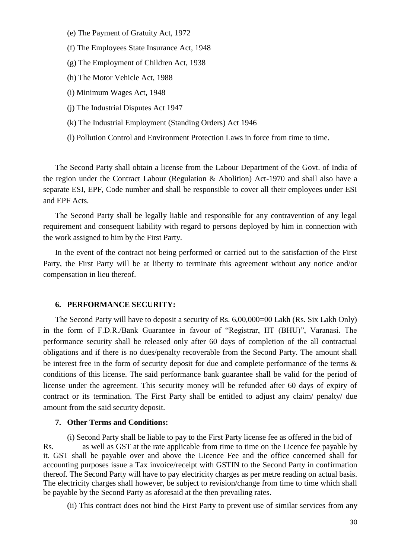- (e) The Payment of Gratuity Act, 1972
- (f) The Employees State Insurance Act, 1948
- (g) The Employment of Children Act, 1938
- (h) The Motor Vehicle Act, 1988
- (i) Minimum Wages Act, 1948
- (j) The Industrial Disputes Act 1947
- (k) The Industrial Employment (Standing Orders) Act 1946
- (l) Pollution Control and Environment Protection Laws in force from time to time.

The Second Party shall obtain a license from the Labour Department of the Govt. of India of the region under the Contract Labour (Regulation & Abolition) Act-1970 and shall also have a separate ESI, EPF, Code number and shall be responsible to cover all their employees under ESI and EPF Acts.

The Second Party shall be legally liable and responsible for any contravention of any legal requirement and consequent liability with regard to persons deployed by him in connection with the work assigned to him by the First Party.

In the event of the contract not being performed or carried out to the satisfaction of the First Party, the First Party will be at liberty to terminate this agreement without any notice and/or compensation in lieu thereof.

### **6. PERFORMANCE SECURITY:**

The Second Party will have to deposit a security of Rs. 6,00,000=00 Lakh (Rs. Six Lakh Only) in the form of F.D.R./Bank Guarantee in favour of "Registrar, IIT (BHU)", Varanasi. The performance security shall be released only after 60 days of completion of the all contractual obligations and if there is no dues/penalty recoverable from the Second Party. The amount shall be interest free in the form of security deposit for due and complete performance of the terms & conditions of this license. The said performance bank guarantee shall be valid for the period of license under the agreement. This security money will be refunded after 60 days of expiry of contract or its termination. The First Party shall be entitled to adjust any claim/ penalty/ due amount from the said security deposit.

#### **7. Other Terms and Conditions:**

(i) Second Party shall be liable to pay to the First Party license fee as offered in the bid of Rs. as well as GST at the rate applicable from time to time on the Licence fee payable by it. GST shall be payable over and above the Licence Fee and the office concerned shall for accounting purposes issue a Tax invoice/receipt with GSTIN to the Second Party in confirmation thereof. The Second Party will have to pay electricity charges as per metre reading on actual basis. The electricity charges shall however, be subject to revision/change from time to time which shall be payable by the Second Party as aforesaid at the then prevailing rates.

(ii) This contract does not bind the First Party to prevent use of similar services from any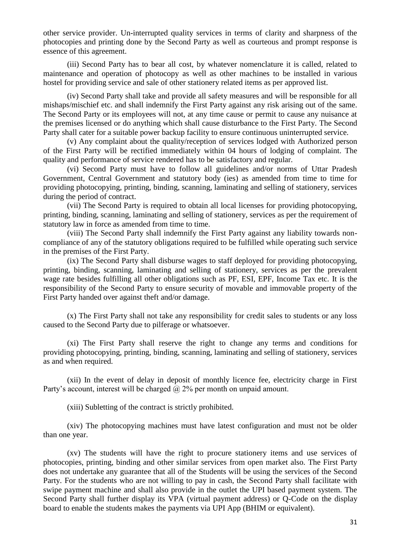other service provider. Un-interrupted quality services in terms of clarity and sharpness of the photocopies and printing done by the Second Party as well as courteous and prompt response is essence of this agreement.

(iii) Second Party has to bear all cost, by whatever nomenclature it is called, related to maintenance and operation of photocopy as well as other machines to be installed in various hostel for providing service and sale of other stationery related items as per approved list.

(iv) Second Party shall take and provide all safety measures and will be responsible for all mishaps/mischief etc. and shall indemnify the First Party against any risk arising out of the same. The Second Party or its employees will not, at any time cause or permit to cause any nuisance at the premises licensed or do anything which shall cause disturbance to the First Party. The Second Party shall cater for a suitable power backup facility to ensure continuous uninterrupted service.

(v) Any complaint about the quality/reception of services lodged with Authorized person of the First Party will be rectified immediately within 04 hours of lodging of complaint. The quality and performance of service rendered has to be satisfactory and regular.

(vi) Second Party must have to follow all guidelines and/or norms of Uttar Pradesh Government, Central Government and statutory body (ies) as amended from time to time for providing photocopying, printing, binding, scanning, laminating and selling of stationery, services during the period of contract.

(vii) The Second Party is required to obtain all local licenses for providing photocopying, printing, binding, scanning, laminating and selling of stationery, services as per the requirement of statutory law in force as amended from time to time.

(viii) The Second Party shall indemnify the First Party against any liability towards noncompliance of any of the statutory obligations required to be fulfilled while operating such service in the premises of the First Party.

(ix) The Second Party shall disburse wages to staff deployed for providing photocopying, printing, binding, scanning, laminating and selling of stationery, services as per the prevalent wage rate besides fulfilling all other obligations such as PF, ESI, EPF, Income Tax etc. It is the responsibility of the Second Party to ensure security of movable and immovable property of the First Party handed over against theft and/or damage.

(x) The First Party shall not take any responsibility for credit sales to students or any loss caused to the Second Party due to pilferage or whatsoever.

(xi) The First Party shall reserve the right to change any terms and conditions for providing photocopying, printing, binding, scanning, laminating and selling of stationery, services as and when required.

(xii) In the event of delay in deposit of monthly licence fee, electricity charge in First Party's account, interest will be charged @ 2% per month on unpaid amount.

(xiii) Subletting of the contract is strictly prohibited.

(xiv) The photocopying machines must have latest configuration and must not be older than one year.

(xv) The students will have the right to procure stationery items and use services of photocopies, printing, binding and other similar services from open market also. The First Party does not undertake any guarantee that all of the Students will be using the services of the Second Party. For the students who are not willing to pay in cash, the Second Party shall facilitate with swipe payment machine and shall also provide in the outlet the UPI based payment system. The Second Party shall further display its VPA (virtual payment address) or Q-Code on the display board to enable the students makes the payments via UPI App (BHIM or equivalent).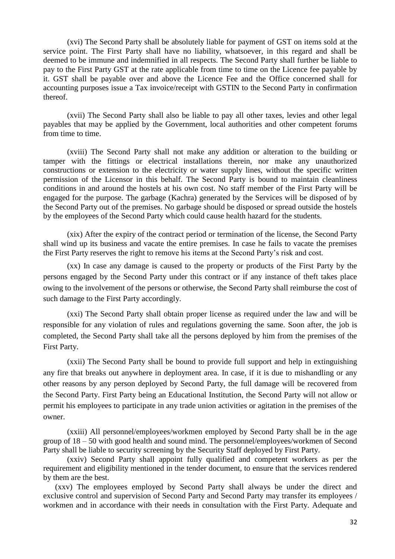(xvi) The Second Party shall be absolutely liable for payment of GST on items sold at the service point. The First Party shall have no liability, whatsoever, in this regard and shall be deemed to be immune and indemnified in all respects. The Second Party shall further be liable to pay to the First Party GST at the rate applicable from time to time on the Licence fee payable by it. GST shall be payable over and above the Licence Fee and the Office concerned shall for accounting purposes issue a Tax invoice/receipt with GSTIN to the Second Party in confirmation thereof.

(xvii) The Second Party shall also be liable to pay all other taxes, levies and other legal payables that may be applied by the Government, local authorities and other competent forums from time to time.

(xviii) The Second Party shall not make any addition or alteration to the building or tamper with the fittings or electrical installations therein, nor make any unauthorized constructions or extension to the electricity or water supply lines, without the specific written permission of the Licensor in this behalf. The Second Party is bound to maintain cleanliness conditions in and around the hostels at his own cost. No staff member of the First Party will be engaged for the purpose. The garbage (Kachra) generated by the Services will be disposed of by the Second Party out of the premises. No garbage should be disposed or spread outside the hostels by the employees of the Second Party which could cause health hazard for the students.

(xix) After the expiry of the contract period or termination of the license, the Second Party shall wind up its business and vacate the entire premises. In case he fails to vacate the premises the First Party reserves the right to remove his items at the Second Party"s risk and cost.

(xx) In case any damage is caused to the property or products of the First Party by the persons engaged by the Second Party under this contract or if any instance of theft takes place owing to the involvement of the persons or otherwise, the Second Party shall reimburse the cost of such damage to the First Party accordingly.

(xxi) The Second Party shall obtain proper license as required under the law and will be responsible for any violation of rules and regulations governing the same. Soon after, the job is completed, the Second Party shall take all the persons deployed by him from the premises of the First Party.

(xxii) The Second Party shall be bound to provide full support and help in extinguishing any fire that breaks out anywhere in deployment area. In case, if it is due to mishandling or any other reasons by any person deployed by Second Party, the full damage will be recovered from the Second Party. First Party being an Educational Institution, the Second Party will not allow or permit his employees to participate in any trade union activities or agitation in the premises of the owner.

(xxiii) All personnel/employees/workmen employed by Second Party shall be in the age group of 18 – 50 with good health and sound mind. The personnel/employees/workmen of Second Party shall be liable to security screening by the Security Staff deployed by First Party.

(xxiv) Second Party shall appoint fully qualified and competent workers as per the requirement and eligibility mentioned in the tender document, to ensure that the services rendered by them are the best.

(xxv) The employees employed by Second Party shall always be under the direct and exclusive control and supervision of Second Party and Second Party may transfer its employees / workmen and in accordance with their needs in consultation with the First Party. Adequate and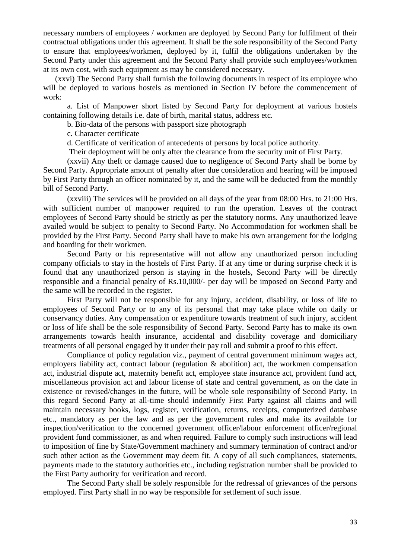necessary numbers of employees / workmen are deployed by Second Party for fulfilment of their contractual obligations under this agreement. It shall be the sole responsibility of the Second Party to ensure that employees/workmen, deployed by it, fulfil the obligations undertaken by the Second Party under this agreement and the Second Party shall provide such employees/workmen at its own cost, with such equipment as may be considered necessary.

(xxvi) The Second Party shall furnish the following documents in respect of its employee who will be deployed to various hostels as mentioned in Section IV before the commencement of work:

a. List of Manpower short listed by Second Party for deployment at various hostels containing following details i.e. date of birth, marital status, address etc.

b. Bio-data of the persons with passport size photograph

c. Character certificate

d. Certificate of verification of antecedents of persons by local police authority.

Their deployment will be only after the clearance from the security unit of First Party.

(xxvii) Any theft or damage caused due to negligence of Second Party shall be borne by Second Party. Appropriate amount of penalty after due consideration and hearing will be imposed by First Party through an officer nominated by it, and the same will be deducted from the monthly bill of Second Party.

(xxviii) The services will be provided on all days of the year from 08:00 Hrs. to 21:00 Hrs. with sufficient number of manpower required to run the operation. Leaves of the contract employees of Second Party should be strictly as per the statutory norms. Any unauthorized leave availed would be subject to penalty to Second Party. No Accommodation for workmen shall be provided by the First Party. Second Party shall have to make his own arrangement for the lodging and boarding for their workmen.

Second Party or his representative will not allow any unauthorized person including company officials to stay in the hostels of First Party. If at any time or during surprise check it is found that any unauthorized person is staying in the hostels, Second Party will be directly responsible and a financial penalty of Rs.10,000/- per day will be imposed on Second Party and the same will be recorded in the register.

First Party will not be responsible for any injury, accident, disability, or loss of life to employees of Second Party or to any of its personal that may take place while on daily or conservancy duties. Any compensation or expenditure towards treatment of such injury, accident or loss of life shall be the sole responsibility of Second Party. Second Party has to make its own arrangements towards health insurance, accidental and disability coverage and domiciliary treatments of all personal engaged by it under their pay roll and submit a proof to this effect.

Compliance of policy regulation viz., payment of central government minimum wages act, employers liability act, contract labour (regulation & abolition) act, the workmen compensation act, industrial dispute act, maternity benefit act, employee state insurance act, provident fund act, miscellaneous provision act and labour license of state and central government, as on the date in existence or revised/changes in the future, will be whole sole responsibility of Second Party. In this regard Second Party at all-time should indemnify First Party against all claims and will maintain necessary books, logs, register, verification, returns, receipts, computerized database etc., mandatory as per the law and as per the government rules and make its available for inspection/verification to the concerned government officer/labour enforcement officer/regional provident fund commissioner, as and when required. Failure to comply such instructions will lead to imposition of fine by State/Government machinery and summary termination of contract and/or such other action as the Government may deem fit. A copy of all such compliances, statements, payments made to the statutory authorities etc., including registration number shall be provided to the First Party authority for verification and record.

The Second Party shall be solely responsible for the redressal of grievances of the persons employed. First Party shall in no way be responsible for settlement of such issue.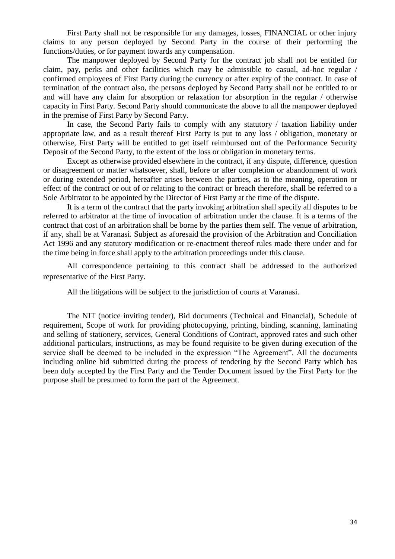First Party shall not be responsible for any damages, losses, FINANCIAL or other injury claims to any person deployed by Second Party in the course of their performing the functions/duties, or for payment towards any compensation.

The manpower deployed by Second Party for the contract job shall not be entitled for claim, pay, perks and other facilities which may be admissible to casual, ad-hoc regular / confirmed employees of First Party during the currency or after expiry of the contract. In case of termination of the contract also, the persons deployed by Second Party shall not be entitled to or and will have any claim for absorption or relaxation for absorption in the regular / otherwise capacity in First Party. Second Party should communicate the above to all the manpower deployed in the premise of First Party by Second Party.

In case, the Second Party fails to comply with any statutory / taxation liability under appropriate law, and as a result thereof First Party is put to any loss / obligation, monetary or otherwise, First Party will be entitled to get itself reimbursed out of the Performance Security Deposit of the Second Party, to the extent of the loss or obligation in monetary terms.

Except as otherwise provided elsewhere in the contract, if any dispute, difference, question or disagreement or matter whatsoever, shall, before or after completion or abandonment of work or during extended period, hereafter arises between the parties, as to the meaning, operation or effect of the contract or out of or relating to the contract or breach therefore, shall be referred to a Sole Arbitrator to be appointed by the Director of First Party at the time of the dispute.

It is a term of the contract that the party invoking arbitration shall specify all disputes to be referred to arbitrator at the time of invocation of arbitration under the clause. It is a terms of the contract that cost of an arbitration shall be borne by the parties them self. The venue of arbitration, if any, shall be at Varanasi. Subject as aforesaid the provision of the Arbitration and Conciliation Act 1996 and any statutory modification or re-enactment thereof rules made there under and for the time being in force shall apply to the arbitration proceedings under this clause.

All correspondence pertaining to this contract shall be addressed to the authorized representative of the First Party.

All the litigations will be subject to the jurisdiction of courts at Varanasi.

The NIT (notice inviting tender), Bid documents (Technical and Financial), Schedule of requirement, Scope of work for providing photocopying, printing, binding, scanning, laminating and selling of stationery, services, General Conditions of Contract, approved rates and such other additional particulars, instructions, as may be found requisite to be given during execution of the service shall be deemed to be included in the expression "The Agreement". All the documents including online bid submitted during the process of tendering by the Second Party which has been duly accepted by the First Party and the Tender Document issued by the First Party for the purpose shall be presumed to form the part of the Agreement.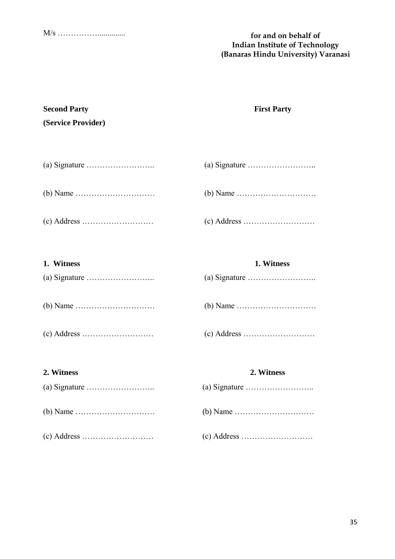# **for and on behalf of Indian Institute of Technology (Banaras Hindu University) Varanasi**

| <b>Second Party</b> |
|---------------------|
| (Service Provider)  |

# **First Party**

(a) Signature ……………………..

(b) Name …………………………

- (c) Address ………………………
- (a) Signature …………………….. (b) Name …………………………

(c) Address ………………………

# **1. Witness**

(a) Signature ……………………..

- (b) Name …………………………
- (c) Address ………………………

**1. Witness**

(a) Signature ……………………..

(b) Name …………………………

(c) Address ………………………

# **2. Witness 2. Witness**

(a) Signature …………………….. (a) Signature ……………………..

- (b) Name ………………………… (b) Name …………………………
- (c) Address ……………………… (c) Address ………………………

| (a) Signature $\dots\dots\dots\dots\dots\dots\dots\dots\dots\dots$ |
|--------------------------------------------------------------------|
|                                                                    |
| $(\alpha)$ Addross                                                 |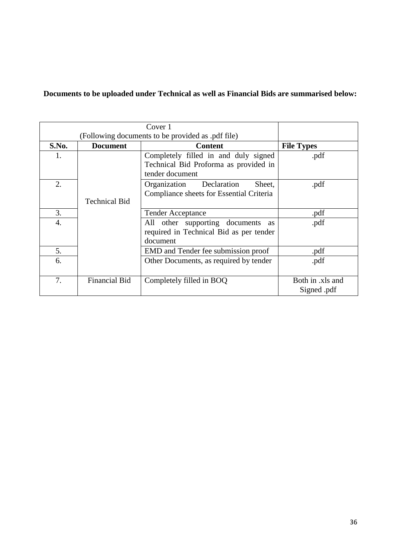**Documents to be uploaded under Technical as well as Financial Bids are summarised below:**

| Cover 1 |                          |                                                                                                  |                                 |
|---------|--------------------------|--------------------------------------------------------------------------------------------------|---------------------------------|
|         |                          |                                                                                                  |                                 |
| S.No.   | <b>Document</b>          | <b>Content</b>                                                                                   | <b>File Types</b>               |
| 1.      |                          | Completely filled in and duly signed<br>Technical Bid Proforma as provided in<br>tender document | .pdf                            |
| 2.      | <b>Technical Bid</b>     | Organization<br>Declaration<br>Sheet,<br>Compliance sheets for Essential Criteria                | .pdf                            |
| 3.      | <b>Tender Acceptance</b> |                                                                                                  | .pdf                            |
| 4.      |                          | All other supporting documents<br>as<br>required in Technical Bid as per tender<br>document      | .pdf                            |
| 5.      |                          | EMD and Tender fee submission proof                                                              | .pdf                            |
| 6.      |                          | Other Documents, as required by tender                                                           | .pdf                            |
| 7.      | <b>Financial Bid</b>     | Completely filled in BOQ                                                                         | Both in .xls and<br>Signed .pdf |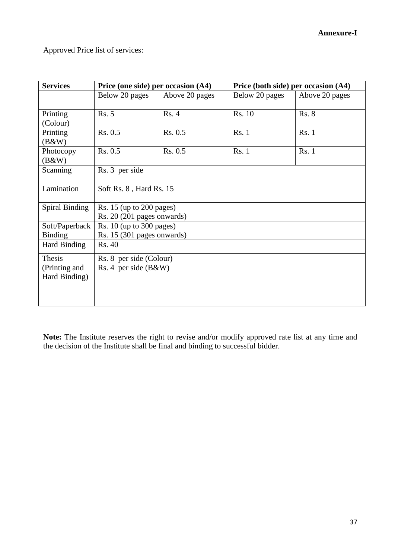Approved Price list of services:

| <b>Services</b>                          | Price (one side) per occasion (A4)                         |                | Price (both side) per occasion (A4) |                |
|------------------------------------------|------------------------------------------------------------|----------------|-------------------------------------|----------------|
|                                          | Below 20 pages                                             | Above 20 pages | Below 20 pages                      | Above 20 pages |
| Printing<br>(Colour)                     | <b>Rs. 5</b>                                               | <b>Rs. 4</b>   | Rs. 10                              | <b>Rs. 8</b>   |
| Printing<br>(B&W)                        | Rs. 0.5                                                    | Rs. 0.5        | <b>Rs.</b> 1                        | <b>Rs. 1</b>   |
| Photocopy<br>(B&W)                       | Rs. 0.5                                                    | Rs. 0.5        | <b>Rs.</b> 1                        | <b>Rs. 1</b>   |
| Scanning                                 | Rs. 3 per side                                             |                |                                     |                |
| Lamination                               | Soft Rs. 8, Hard Rs. 15                                    |                |                                     |                |
| Spiral Binding                           | Rs. 15 (up to 200 pages)<br>Rs. 20 (201 pages onwards)     |                |                                     |                |
| Soft/Paperback<br><b>Binding</b>         | Rs. $10$ (up to $300$ pages)<br>Rs. 15 (301 pages onwards) |                |                                     |                |
| Hard Binding                             | Rs. 40                                                     |                |                                     |                |
| Thesis<br>(Printing and<br>Hard Binding) | Rs. 8 per side (Colour)<br>Rs. 4 per side (B&W)            |                |                                     |                |

**Note:** The Institute reserves the right to revise and/or modify approved rate list at any time and the decision of the Institute shall be final and binding to successful bidder.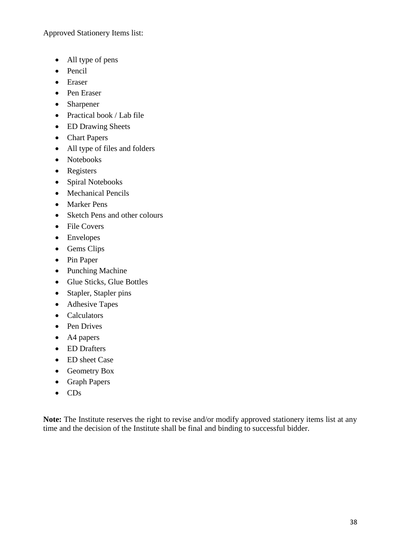Approved Stationery Items list:

- All type of pens
- Pencil
- Eraser
- Pen Eraser
- Sharpener
- Practical book / Lab file
- ED Drawing Sheets
- Chart Papers
- All type of files and folders
- Notebooks
- Registers
- Spiral Notebooks
- Mechanical Pencils
- Marker Pens
- Sketch Pens and other colours
- File Covers
- Envelopes
- Gems Clips
- Pin Paper
- Punching Machine
- Glue Sticks, Glue Bottles
- Stapler, Stapler pins
- Adhesive Tapes
- Calculators
- Pen Drives
- A4 papers
- ED Drafters
- ED sheet Case
- Geometry Box
- Graph Papers
- CDs

**Note:** The Institute reserves the right to revise and/or modify approved stationery items list at any time and the decision of the Institute shall be final and binding to successful bidder.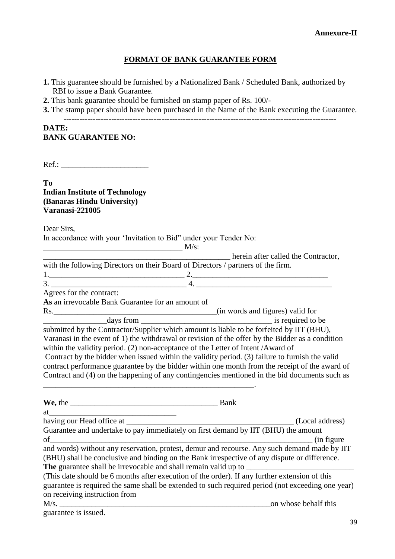# **FORMAT OF BANK GUARANTEE FORM**

- **1.** This guarantee should be furnished by a Nationalized Bank / Scheduled Bank, authorized by RBI to issue a Bank Guarantee.
- **2.** This bank guarantee should be furnished on stamp paper of Rs. 100/-
- **3.** The stamp paper should have been purchased in the Name of the Bank executing the Guarantee.

-------------------------------------------------------------------------------------------------------

### **DATE: BANK GUARANTEE NO:**

Ref.:

**To Indian Institute of Technology (Banaras Hindu University) Varanasi-221005**

Dear Sirs,

In accordance with your "Invitation to Bid" under your Tender No:

|                                                                                               | herein after called the Contractor,                                                                                                                                                                                            |
|-----------------------------------------------------------------------------------------------|--------------------------------------------------------------------------------------------------------------------------------------------------------------------------------------------------------------------------------|
|                                                                                               | with the following Directors on their Board of Directors / partners of the firm.                                                                                                                                               |
|                                                                                               |                                                                                                                                                                                                                                |
|                                                                                               | $\frac{1}{3}$ .                                                                                                                                                                                                                |
| Agrees for the contract:                                                                      |                                                                                                                                                                                                                                |
| As an irrevocable Bank Guarantee for an amount of                                             |                                                                                                                                                                                                                                |
|                                                                                               |                                                                                                                                                                                                                                |
|                                                                                               |                                                                                                                                                                                                                                |
|                                                                                               | submitted by the Contractor/Supplier which amount is liable to be forfeited by IIT (BHU),                                                                                                                                      |
|                                                                                               | Varanasi in the event of 1) the withdrawal or revision of the offer by the Bidder as a condition                                                                                                                               |
|                                                                                               | within the validity period. (2) non-acceptance of the Letter of Intent /Award of                                                                                                                                               |
|                                                                                               | Contract by the bidder when issued within the validity period. (3) failure to furnish the valid                                                                                                                                |
|                                                                                               | contract performance guarantee by the bidder within one month from the receipt of the award of                                                                                                                                 |
| Contract and (4) on the happening of any contingencies mentioned in the bid documents such as |                                                                                                                                                                                                                                |
|                                                                                               |                                                                                                                                                                                                                                |
|                                                                                               |                                                                                                                                                                                                                                |
|                                                                                               |                                                                                                                                                                                                                                |
|                                                                                               |                                                                                                                                                                                                                                |
|                                                                                               |                                                                                                                                                                                                                                |
|                                                                                               | Guarantee and undertake to pay immediately on first demand by IIT (BHU) the amount                                                                                                                                             |
|                                                                                               | of $\overline{\hspace{1cm}}$ (in figure                                                                                                                                                                                        |
|                                                                                               | and words) without any reservation, protest, demur and recourse. Any such demand made by IIT                                                                                                                                   |
|                                                                                               | (BHU) shall be conclusive and binding on the Bank irrespective of any dispute or difference.                                                                                                                                   |
|                                                                                               |                                                                                                                                                                                                                                |
|                                                                                               | (This date should be 6 months after execution of the order). If any further extension of this                                                                                                                                  |
|                                                                                               | guarantee is required the same shall be extended to such required period (not exceeding one year)                                                                                                                              |
| on receiving instruction from                                                                 |                                                                                                                                                                                                                                |
| M/s.                                                                                          | n whose behalf this contract the contract of the contract of the contract of the contract of the contract of the contract of the contract of the contract of the contract of the contract of the contract of the contract of t |
| guarantee is issued.                                                                          |                                                                                                                                                                                                                                |